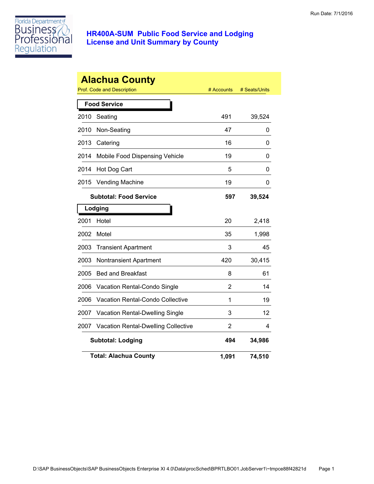

|      | <b>Alachua County</b><br><b>Prof. Code and Description</b> | # Accounts | # Seats/Units |
|------|------------------------------------------------------------|------------|---------------|
|      | <b>Food Service</b>                                        |            |               |
| 2010 | Seating                                                    | 491        | 39,524        |
| 2010 | Non-Seating                                                | 47         | 0             |
| 2013 | Catering                                                   | 16         | 0             |
| 2014 | Mobile Food Dispensing Vehicle                             | 19         | 0             |
| 2014 | Hot Dog Cart                                               | 5          | 0             |
| 2015 | <b>Vending Machine</b>                                     | 19         | 0             |
|      | <b>Subtotal: Food Service</b>                              | 597        | 39,524        |
|      | Lodging                                                    |            |               |
| 2001 | Hotel                                                      | 20         | 2,418         |
| 2002 | Motel                                                      | 35         | 1,998         |
| 2003 | <b>Transient Apartment</b>                                 | 3          | 45            |
| 2003 | Nontransient Apartment                                     | 420        | 30,415        |
| 2005 | <b>Bed and Breakfast</b>                                   | 8          | 61            |
| 2006 | Vacation Rental-Condo Single                               | 2          | 14            |
| 2006 | <b>Vacation Rental-Condo Collective</b>                    | 1          | 19            |
| 2007 | Vacation Rental-Dwelling Single                            | 3          | 12            |
| 2007 | <b>Vacation Rental-Dwelling Collective</b>                 | 2          | 4             |
|      | <b>Subtotal: Lodging</b>                                   | 494        | 34,986        |
|      | <b>Total: Alachua County</b>                               | 1,091      | 74,510        |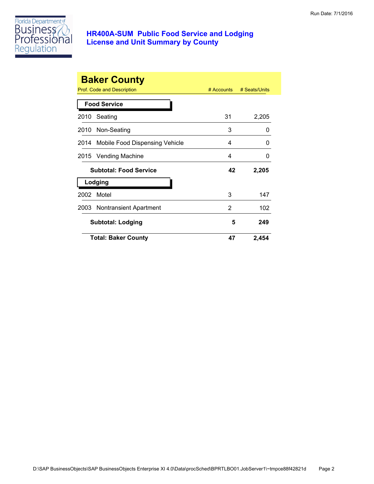

|      | <b>Baker County</b><br>Prof. Code and Description | $#$ Accounts | # Seats/Units |
|------|---------------------------------------------------|--------------|---------------|
|      | <b>Food Service</b>                               |              |               |
| 2010 | Seating                                           | 31           | 2,205         |
|      | 2010 Non-Seating                                  | 3            | 0             |
|      | 2014 Mobile Food Dispensing Vehicle               | 4            | 0             |
| 2015 | Vending Machine                                   | 4            | 0             |
|      | <b>Subtotal: Food Service</b>                     | 42           | 2,205         |
|      | Lodging                                           |              |               |
| 2002 | Motel                                             | 3            | 147           |
|      | 2003 Nontransient Apartment                       | 2            | 102           |
|      | <b>Subtotal: Lodging</b>                          | 5            | 249           |
|      | <b>Total: Baker County</b>                        | 47           | 2,454         |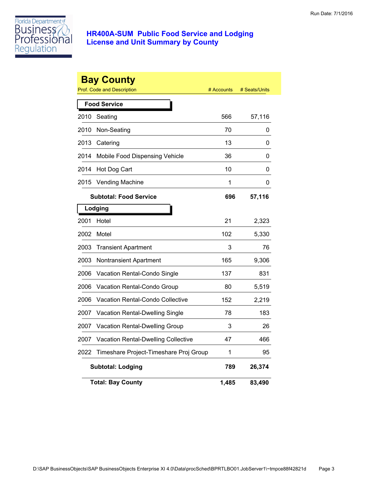

|      | <b>Bay County</b><br><b>Prof. Code and Description</b> | # Accounts | # Seats/Units |
|------|--------------------------------------------------------|------------|---------------|
|      | <b>Food Service</b>                                    |            |               |
| 2010 | Seating                                                | 566        | 57,116        |
| 2010 | Non-Seating                                            | 70         | 0             |
| 2013 | Catering                                               | 13         | 0             |
| 2014 | Mobile Food Dispensing Vehicle                         | 36         | 0             |
| 2014 | Hot Dog Cart                                           | 10         | 0             |
| 2015 | <b>Vending Machine</b>                                 | 1          | 0             |
|      | <b>Subtotal: Food Service</b>                          | 696        | 57,116        |
|      | Lodging                                                |            |               |
| 2001 | Hotel                                                  | 21         | 2,323         |
| 2002 | Motel                                                  | 102        | 5,330         |
| 2003 | <b>Transient Apartment</b>                             | 3          | 76            |
| 2003 | Nontransient Apartment                                 | 165        | 9,306         |
| 2006 | Vacation Rental-Condo Single                           | 137        | 831           |
| 2006 | Vacation Rental-Condo Group                            | 80         | 5,519         |
| 2006 | <b>Vacation Rental-Condo Collective</b>                | 152        | 2,219         |
| 2007 | Vacation Rental-Dwelling Single                        | 78         | 183           |
| 2007 | Vacation Rental-Dwelling Group                         | 3          | 26            |
| 2007 | <b>Vacation Rental-Dwelling Collective</b>             | 47         | 466           |
| 2022 | Timeshare Project-Timeshare Proj Group                 | 1          | 95            |
|      | <b>Subtotal: Lodging</b>                               | 789        | 26,374        |
|      | <b>Total: Bay County</b>                               | 1,485      | 83,490        |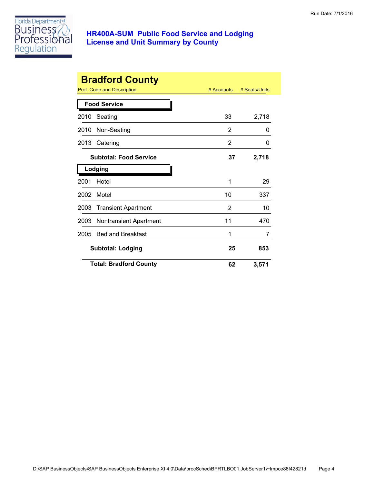

|      | <b>Bradford County</b>        |            |               |
|------|-------------------------------|------------|---------------|
|      | Prof. Code and Description    | # Accounts | # Seats/Units |
|      | <b>Food Service</b>           |            |               |
| 2010 | Seating                       | 33         | 2,718         |
| 2010 | Non-Seating                   | 2          | 0             |
| 2013 | Catering                      | 2          | 0             |
|      | <b>Subtotal: Food Service</b> | 37         | 2,718         |
|      | Lodging                       |            |               |
| 2001 | Hotel                         | 1          | 29            |
| 2002 | Motel                         | 10         | 337           |
| 2003 | <b>Transient Apartment</b>    | 2          | 10            |
| 2003 | <b>Nontransient Apartment</b> | 11         | 470           |
| 2005 | <b>Bed and Breakfast</b>      | 1          | 7             |
|      | <b>Subtotal: Lodging</b>      | 25         | 853           |
|      | <b>Total: Bradford County</b> | 62         | 3,571         |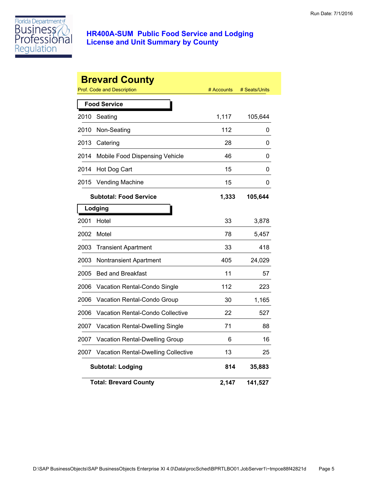

|      | <b>Brevard County</b><br><b>Prof. Code and Description</b> | # Accounts | # Seats/Units |
|------|------------------------------------------------------------|------------|---------------|
|      | <b>Food Service</b>                                        |            |               |
| 2010 | Seating                                                    | 1,117      | 105,644       |
| 2010 | Non-Seating                                                | 112        | 0             |
| 2013 | Catering                                                   | 28         | 0             |
| 2014 | Mobile Food Dispensing Vehicle                             | 46         | 0             |
| 2014 | Hot Dog Cart                                               | 15         | 0             |
| 2015 | <b>Vending Machine</b>                                     | 15         | 0             |
|      | <b>Subtotal: Food Service</b>                              | 1,333      | 105,644       |
|      | Lodging                                                    |            |               |
| 2001 | Hotel                                                      | 33         | 3,878         |
| 2002 | Motel                                                      | 78         | 5,457         |
| 2003 | <b>Transient Apartment</b>                                 | 33         | 418           |
| 2003 | Nontransient Apartment                                     | 405        | 24,029        |
| 2005 | <b>Bed and Breakfast</b>                                   | 11         | 57            |
| 2006 | Vacation Rental-Condo Single                               | 112        | 223           |
| 2006 | Vacation Rental-Condo Group                                | 30         | 1,165         |
| 2006 | <b>Vacation Rental-Condo Collective</b>                    | 22         | 527           |
| 2007 | <b>Vacation Rental-Dwelling Single</b>                     | 71         | 88            |
| 2007 | Vacation Rental-Dwelling Group                             | 6          | 16            |
| 2007 | <b>Vacation Rental-Dwelling Collective</b>                 | 13         | 25            |
|      | <b>Subtotal: Lodging</b>                                   | 814        | 35,883        |
|      | <b>Total: Brevard County</b>                               | 2,147      | 141,527       |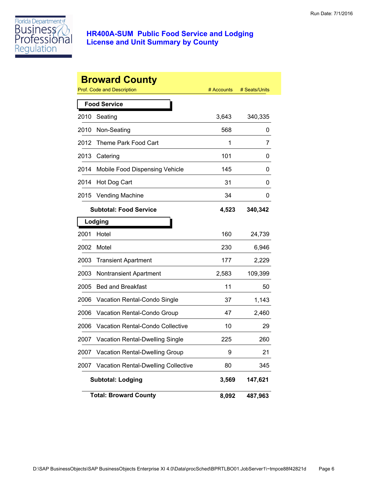

|      | <b>Broward County</b>                      |            |               |
|------|--------------------------------------------|------------|---------------|
|      | <b>Prof. Code and Description</b>          | # Accounts | # Seats/Units |
|      | <b>Food Service</b>                        |            |               |
| 2010 | Seating                                    | 3,643      | 340,335       |
| 2010 | Non-Seating                                | 568        | 0             |
| 2012 | Theme Park Food Cart                       | 1          | 7             |
| 2013 | Catering                                   | 101        | 0             |
| 2014 | Mobile Food Dispensing Vehicle             | 145        | 0             |
| 2014 | Hot Dog Cart                               | 31         | 0             |
| 2015 | <b>Vending Machine</b>                     | 34         | 0             |
|      | <b>Subtotal: Food Service</b>              | 4,523      | 340,342       |
|      | Lodging                                    |            |               |
| 2001 | Hotel                                      | 160        | 24,739        |
| 2002 | Motel                                      | 230        | 6,946         |
| 2003 | <b>Transient Apartment</b>                 | 177        | 2,229         |
| 2003 | <b>Nontransient Apartment</b>              | 2,583      | 109,399       |
| 2005 | <b>Bed and Breakfast</b>                   | 11         | 50            |
| 2006 | Vacation Rental-Condo Single               | 37         | 1,143         |
| 2006 | Vacation Rental-Condo Group                | 47         | 2,460         |
| 2006 | Vacation Rental-Condo Collective           | 10         | 29            |
| 2007 | <b>Vacation Rental-Dwelling Single</b>     | 225        | 260           |
| 2007 | Vacation Rental-Dwelling Group             | 9          | 21            |
| 2007 | <b>Vacation Rental-Dwelling Collective</b> | 80         | 345           |
|      | <b>Subtotal: Lodging</b>                   | 3,569      | 147,621       |
|      | <b>Total: Broward County</b>               | 8,092      | 487,963       |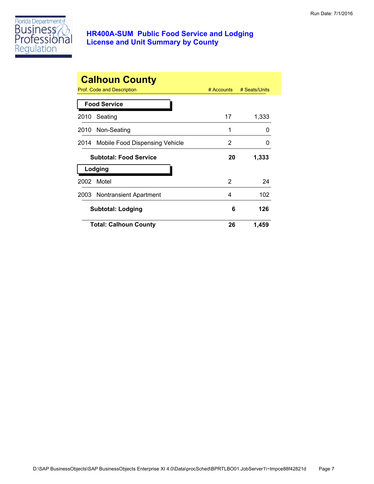

|      | <b>Calhoun County</b><br>Prof. Code and Description | $#$ Accounts | # Seats/Units |
|------|-----------------------------------------------------|--------------|---------------|
|      | <b>Food Service</b>                                 |              |               |
| 2010 | Seating                                             | 17           | 1,333         |
|      | 2010 Non-Seating                                    | 1            | O             |
|      | 2014 Mobile Food Dispensing Vehicle                 | 2            | O             |
|      | <b>Subtotal: Food Service</b>                       | 20           | 1,333         |
|      | Lodging                                             |              |               |
| 2002 | Motel                                               | 2            | 24            |
|      | 2003 Nontransient Apartment                         | 4            | 102           |
|      | <b>Subtotal: Lodging</b>                            | 6            | 126           |
|      | <b>Total: Calhoun County</b>                        | 26           | 1,459         |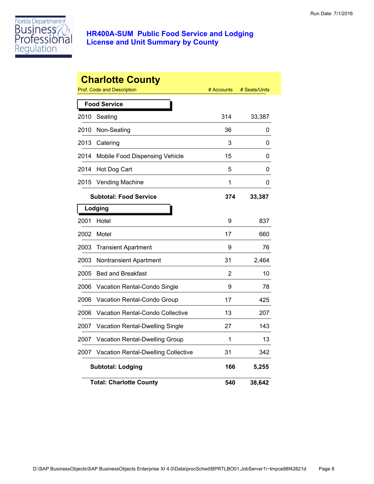

|      | <b>Charlotte County</b><br>Prof. Code and Description | # Accounts | # Seats/Units |
|------|-------------------------------------------------------|------------|---------------|
|      |                                                       |            |               |
|      | <b>Food Service</b>                                   |            |               |
| 2010 | Seating                                               | 314        | 33,387        |
| 2010 | Non-Seating                                           | 36         | 0             |
| 2013 | Catering                                              | 3          | 0             |
| 2014 | Mobile Food Dispensing Vehicle                        | 15         | 0             |
| 2014 | Hot Dog Cart                                          | 5          | 0             |
| 2015 | <b>Vending Machine</b>                                | 1          | 0             |
|      | <b>Subtotal: Food Service</b>                         | 374        | 33,387        |
|      | Lodging                                               |            |               |
| 2001 | Hotel                                                 | 9          | 837           |
| 2002 | Motel                                                 | 17         | 660           |
| 2003 | <b>Transient Apartment</b>                            | 9          | 76            |
| 2003 | Nontransient Apartment                                | 31         | 2,464         |
| 2005 | <b>Bed and Breakfast</b>                              | 2          | 10            |
| 2006 | Vacation Rental-Condo Single                          | 9          | 78            |
| 2006 | Vacation Rental-Condo Group                           | 17         | 425           |
| 2006 | Vacation Rental-Condo Collective                      | 13         | 207           |
| 2007 | Vacation Rental-Dwelling Single                       | 27         | 143           |
| 2007 | Vacation Rental-Dwelling Group                        | 1          | 13            |
| 2007 | Vacation Rental-Dwelling Collective                   | 31         | 342           |
|      | <b>Subtotal: Lodging</b>                              | 166        | 5,255         |
|      | <b>Total: Charlotte County</b>                        | 540        | 38,642        |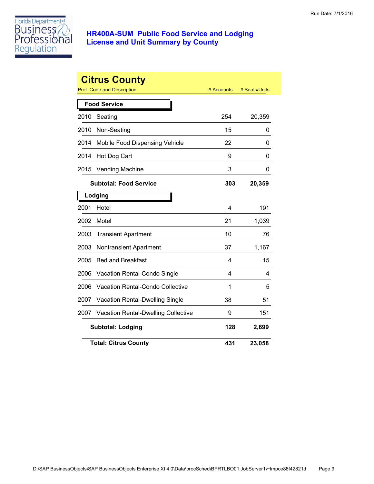

|      | <b>Citrus County</b><br>Prof. Code and Description | # Accounts | # Seats/Units |
|------|----------------------------------------------------|------------|---------------|
|      | <b>Food Service</b>                                |            |               |
| 2010 | Seating                                            | 254        | 20,359        |
| 2010 | Non-Seating                                        | 15         | 0             |
| 2014 | Mobile Food Dispensing Vehicle                     | 22         | 0             |
| 2014 | Hot Dog Cart                                       | 9          | 0             |
| 2015 | Vending Machine                                    | 3          | 0             |
|      | <b>Subtotal: Food Service</b>                      | 303        | 20,359        |
|      | Lodging                                            |            |               |
| 2001 | Hotel                                              | 4          | 191           |
| 2002 | Motel                                              | 21         | 1,039         |
| 2003 | <b>Transient Apartment</b>                         | 10         | 76            |
| 2003 | <b>Nontransient Apartment</b>                      | 37         | 1,167         |
| 2005 | <b>Bed and Breakfast</b>                           | 4          | 15            |
| 2006 | Vacation Rental-Condo Single                       | 4          | 4             |
| 2006 | <b>Vacation Rental-Condo Collective</b>            | 1          | 5             |
| 2007 | Vacation Rental-Dwelling Single                    | 38         | 51            |
| 2007 | <b>Vacation Rental-Dwelling Collective</b>         | 9          | 151           |
|      | <b>Subtotal: Lodging</b>                           | 128        | 2,699         |
|      | <b>Total: Citrus County</b>                        | 431        | 23,058        |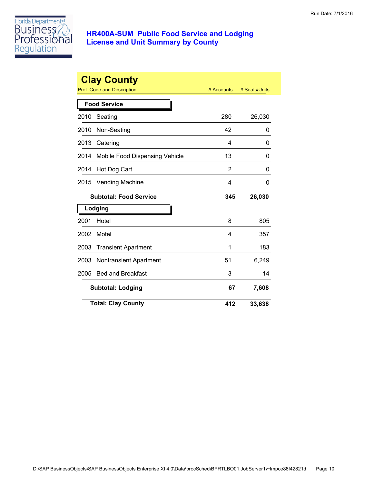

|      | <b>Clay County</b><br>Prof. Code and Description | # Accounts | # Seats/Units |
|------|--------------------------------------------------|------------|---------------|
|      | <b>Food Service</b>                              |            |               |
| 2010 | Seating                                          | 280        | 26,030        |
| 2010 | Non-Seating                                      | 42         | 0             |
| 2013 | Catering                                         | 4          | 0             |
| 2014 | Mobile Food Dispensing Vehicle                   | 13         | 0             |
| 2014 | Hot Dog Cart                                     | 2          | 0             |
| 2015 | <b>Vending Machine</b>                           | 4          | 0             |
|      | <b>Subtotal: Food Service</b>                    | 345        | 26,030        |
|      | Lodging                                          |            |               |
| 2001 | Hotel                                            | 8          | 805           |
| 2002 | Motel                                            | 4          | 357           |
| 2003 | <b>Transient Apartment</b>                       | 1          | 183           |
| 2003 | Nontransient Apartment                           | 51         | 6,249         |
| 2005 | <b>Bed and Breakfast</b>                         | 3          | 14            |
|      | <b>Subtotal: Lodging</b>                         | 67         | 7,608         |
|      | <b>Total: Clay County</b>                        | 412        | 33,638        |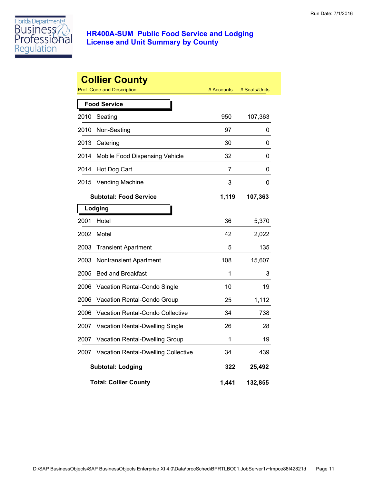

|      | <b>Collier County</b><br>Prof. Code and Description | # Accounts | # Seats/Units |
|------|-----------------------------------------------------|------------|---------------|
|      | <b>Food Service</b>                                 |            |               |
| 2010 | Seating                                             | 950        | 107,363       |
| 2010 | Non-Seating                                         | 97         | 0             |
| 2013 | Catering                                            | 30         | 0             |
| 2014 | Mobile Food Dispensing Vehicle                      | 32         | 0             |
| 2014 | Hot Dog Cart                                        | 7          | 0             |
| 2015 | <b>Vending Machine</b>                              | 3          | 0             |
|      | <b>Subtotal: Food Service</b>                       | 1,119      | 107,363       |
|      | Lodging                                             |            |               |
| 2001 | Hotel                                               | 36         | 5,370         |
| 2002 | Motel                                               | 42         | 2,022         |
| 2003 | <b>Transient Apartment</b>                          | 5          | 135           |
| 2003 | <b>Nontransient Apartment</b>                       | 108        | 15,607        |
| 2005 | <b>Bed and Breakfast</b>                            | 1          | 3             |
| 2006 | Vacation Rental-Condo Single                        | 10         | 19            |
| 2006 | Vacation Rental-Condo Group                         | 25         | 1,112         |
| 2006 | Vacation Rental-Condo Collective                    | 34         | 738           |
| 2007 | Vacation Rental-Dwelling Single                     | 26         | 28            |
| 2007 | Vacation Rental-Dwelling Group                      | 1          | 19            |
| 2007 | Vacation Rental-Dwelling Collective                 | 34         | 439           |
|      | <b>Subtotal: Lodging</b>                            | 322        | 25,492        |
|      | <b>Total: Collier County</b>                        | 1,441      | 132,855       |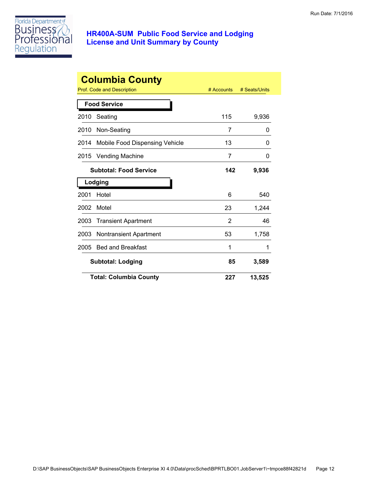

| <b>Columbia County</b> |                                |            |               |  |
|------------------------|--------------------------------|------------|---------------|--|
|                        | Prof. Code and Description     | # Accounts | # Seats/Units |  |
|                        | <b>Food Service</b>            |            |               |  |
| 2010                   | Seating                        | 115        | 9,936         |  |
| 2010                   | Non-Seating                    | 7          | 0             |  |
| 2014                   | Mobile Food Dispensing Vehicle | 13         | 0             |  |
| 2015                   | <b>Vending Machine</b>         | 7          | 0             |  |
|                        | <b>Subtotal: Food Service</b>  | 142        | 9,936         |  |
|                        | Lodging                        |            |               |  |
| 2001                   | Hotel                          | 6          | 540           |  |
| 2002                   | Motel                          | 23         | 1,244         |  |
| 2003                   | <b>Transient Apartment</b>     | 2          | 46            |  |
| 2003                   | <b>Nontransient Apartment</b>  | 53         | 1,758         |  |
| 2005                   | <b>Bed and Breakfast</b>       | 1          | 1             |  |
|                        | <b>Subtotal: Lodging</b>       | 85         | 3,589         |  |
|                        | <b>Total: Columbia County</b>  | 227        | 13,525        |  |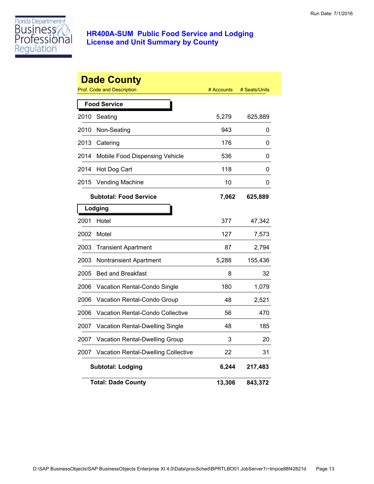

|      | <b>Dade County</b><br>Prof. Code and Description | # Accounts | # Seats/Units |
|------|--------------------------------------------------|------------|---------------|
|      | <b>Food Service</b>                              |            |               |
| 2010 | Seating                                          | 5,279      | 625,889       |
| 2010 | Non-Seating                                      | 943        | 0             |
| 2013 | Catering                                         | 176        | 0             |
| 2014 | Mobile Food Dispensing Vehicle                   | 536        | 0             |
| 2014 | Hot Dog Cart                                     | 118        | 0             |
| 2015 | <b>Vending Machine</b>                           | 10         | 0             |
|      | <b>Subtotal: Food Service</b>                    | 7,062      | 625,889       |
|      | Lodging                                          |            |               |
| 2001 | Hotel                                            | 377        | 47,342        |
| 2002 | Motel                                            | 127        | 7,573         |
| 2003 | <b>Transient Apartment</b>                       | 87         | 2,794         |
| 2003 | <b>Nontransient Apartment</b>                    | 5,288      | 155,436       |
| 2005 | <b>Bed and Breakfast</b>                         | 8          | 32            |
| 2006 | Vacation Rental-Condo Single                     | 180        | 1,079         |
| 2006 | Vacation Rental-Condo Group                      | 48         | 2,521         |
| 2006 | Vacation Rental-Condo Collective                 | 56         | 470           |
| 2007 | Vacation Rental-Dwelling Single                  | 48         | 185           |
| 2007 | Vacation Rental-Dwelling Group                   | 3          | 20            |
| 2007 | Vacation Rental-Dwelling Collective              | 22         | 31            |
|      | <b>Subtotal: Lodging</b>                         | 6,244      | 217,483       |
|      | <b>Total: Dade County</b>                        | 13,306     | 843,372       |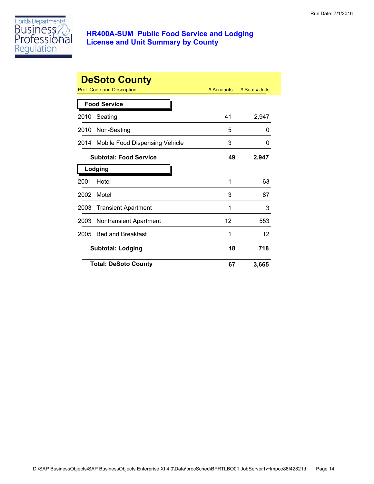

|      | <b>DeSoto County</b>           |            |               |
|------|--------------------------------|------------|---------------|
|      | Prof. Code and Description     | # Accounts | # Seats/Units |
|      | <b>Food Service</b>            |            |               |
| 2010 | Seating                        | 41         | 2,947         |
| 2010 | Non-Seating                    | 5          | ი             |
| 2014 | Mobile Food Dispensing Vehicle | 3          | O             |
|      | <b>Subtotal: Food Service</b>  | 49         | 2,947         |
|      | Lodging                        |            |               |
| 2001 | Hotel                          | 1          | 63            |
| 2002 | Motel                          | 3          | 87            |
| 2003 | <b>Transient Apartment</b>     | 1          | 3             |
| 2003 | <b>Nontransient Apartment</b>  | 12         | 553           |
| 2005 | <b>Bed and Breakfast</b>       | 1          | 12            |
|      | <b>Subtotal: Lodging</b>       | 18         | 718           |
|      | <b>Total: DeSoto County</b>    | 67         | 3,665         |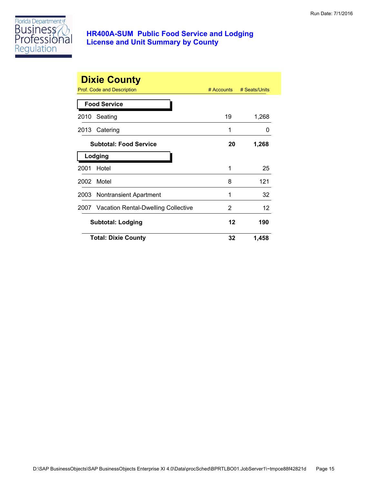

|      | <b>Dixie County</b><br>Prof. Code and Description | $#$ Accounts | # Seats/Units |
|------|---------------------------------------------------|--------------|---------------|
|      | <b>Food Service</b>                               |              |               |
| 2010 | Seating                                           | 19           | 1,268         |
| 2013 | Catering                                          | 1            | 0             |
|      | <b>Subtotal: Food Service</b>                     | 20           | 1,268         |
|      | Lodging                                           |              |               |
| 2001 | Hotel                                             | 1            | 25            |
| 2002 | Motel                                             | 8            | 121           |
|      | 2003 Nontransient Apartment                       | 1            | 32            |
| 2007 | <b>Vacation Rental-Dwelling Collective</b>        | 2            | 12            |
|      | Subtotal: Lodging                                 | 12           | 190           |
|      | <b>Total: Dixie County</b>                        | 32           | 1,458         |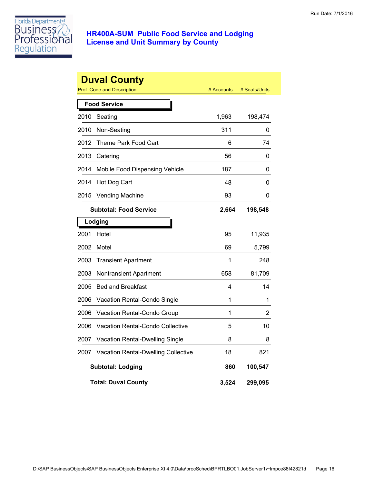

|      | <b>Duval County</b><br><b>Prof. Code and Description</b> | # Accounts | # Seats/Units |
|------|----------------------------------------------------------|------------|---------------|
|      | <b>Food Service</b>                                      |            |               |
| 2010 | Seating                                                  | 1,963      | 198,474       |
| 2010 | Non-Seating                                              | 311        | 0             |
| 2012 | Theme Park Food Cart                                     | 6          | 74            |
| 2013 | Catering                                                 | 56         | 0             |
| 2014 | Mobile Food Dispensing Vehicle                           | 187        | 0             |
| 2014 | Hot Dog Cart                                             | 48         | 0             |
| 2015 | <b>Vending Machine</b>                                   | 93         | 0             |
|      | <b>Subtotal: Food Service</b>                            | 2,664      | 198,548       |
|      | Lodging                                                  |            |               |
| 2001 | Hotel                                                    | 95         | 11,935        |
| 2002 | Motel                                                    | 69         | 5,799         |
| 2003 | <b>Transient Apartment</b>                               | 1          | 248           |
| 2003 | Nontransient Apartment                                   | 658        | 81,709        |
| 2005 | <b>Bed and Breakfast</b>                                 | 4          | 14            |
| 2006 | Vacation Rental-Condo Single                             | 1          | 1             |
| 2006 | Vacation Rental-Condo Group                              | 1          | 2             |
| 2006 | Vacation Rental-Condo Collective                         | 5          | 10            |
| 2007 | Vacation Rental-Dwelling Single                          | 8          | 8             |
| 2007 | Vacation Rental-Dwelling Collective                      | 18         | 821           |
|      | <b>Subtotal: Lodging</b>                                 | 860        | 100,547       |
|      | <b>Total: Duval County</b>                               | 3,524      | 299,095       |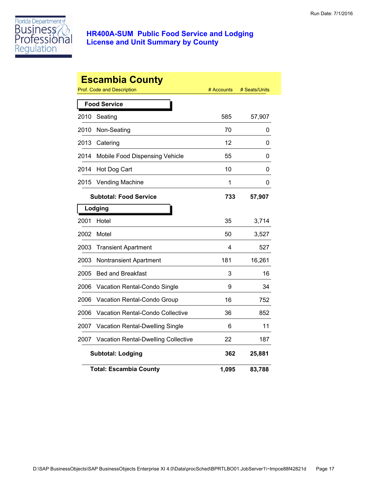

|      | <b>Escambia County</b><br>Prof. Code and Description | # Accounts | # Seats/Units |
|------|------------------------------------------------------|------------|---------------|
|      | <b>Food Service</b>                                  |            |               |
| 2010 | Seating                                              | 585        | 57,907        |
| 2010 | Non-Seating                                          | 70         | 0             |
| 2013 | Catering                                             | 12         | 0             |
| 2014 | Mobile Food Dispensing Vehicle                       | 55         | 0             |
| 2014 | Hot Dog Cart                                         | 10         | 0             |
| 2015 | <b>Vending Machine</b>                               | 1          | 0             |
|      | <b>Subtotal: Food Service</b>                        | 733        | 57,907        |
|      | Lodging                                              |            |               |
| 2001 | Hotel                                                | 35         | 3,714         |
| 2002 | Motel                                                | 50         | 3,527         |
| 2003 | <b>Transient Apartment</b>                           | 4          | 527           |
| 2003 | Nontransient Apartment                               | 181        | 16,261        |
| 2005 | <b>Bed and Breakfast</b>                             | 3          | 16            |
| 2006 | Vacation Rental-Condo Single                         | 9          | 34            |
| 2006 | Vacation Rental-Condo Group                          | 16         | 752           |
| 2006 | Vacation Rental-Condo Collective                     | 36         | 852           |
| 2007 | Vacation Rental-Dwelling Single                      | 6          | 11            |
| 2007 | <b>Vacation Rental-Dwelling Collective</b>           | 22         | 187           |
|      | <b>Subtotal: Lodging</b>                             | 362        | 25,881        |
|      | <b>Total: Escambia County</b>                        | 1,095      | 83,788        |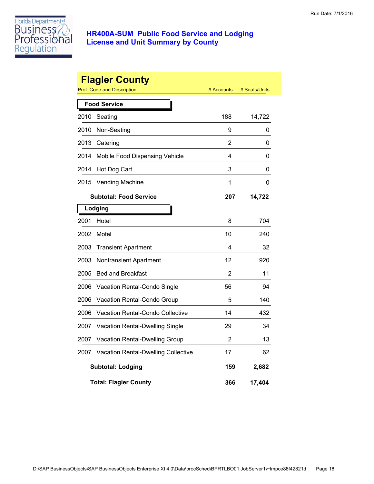

|      | <b>Flagler County</b><br><b>Prof. Code and Description</b> | # Accounts     | # Seats/Units |
|------|------------------------------------------------------------|----------------|---------------|
|      | <b>Food Service</b>                                        |                |               |
| 2010 | Seating                                                    | 188            | 14,722        |
| 2010 | Non-Seating                                                | 9              | 0             |
| 2013 | Catering                                                   | $\overline{2}$ | 0             |
| 2014 | Mobile Food Dispensing Vehicle                             | 4              | 0             |
| 2014 | Hot Dog Cart                                               | 3              | 0             |
| 2015 | <b>Vending Machine</b>                                     | 1              | 0             |
|      | <b>Subtotal: Food Service</b>                              | 207            | 14,722        |
|      | Lodging                                                    |                |               |
| 2001 | Hotel                                                      | 8              | 704           |
| 2002 | Motel                                                      | 10             | 240           |
| 2003 | <b>Transient Apartment</b>                                 | 4              | 32            |
| 2003 | Nontransient Apartment                                     | 12             | 920           |
| 2005 | <b>Bed and Breakfast</b>                                   | 2              | 11            |
| 2006 | Vacation Rental-Condo Single                               | 56             | 94            |
| 2006 | Vacation Rental-Condo Group                                | 5              | 140           |
| 2006 | Vacation Rental-Condo Collective                           | 14             | 432           |
| 2007 | Vacation Rental-Dwelling Single                            | 29             | 34            |
| 2007 | Vacation Rental-Dwelling Group                             | 2              | 13            |
| 2007 | <b>Vacation Rental-Dwelling Collective</b>                 | 17             | 62            |
|      | <b>Subtotal: Lodging</b>                                   | 159            | 2,682         |
|      | <b>Total: Flagler County</b>                               | 366            | 17,404        |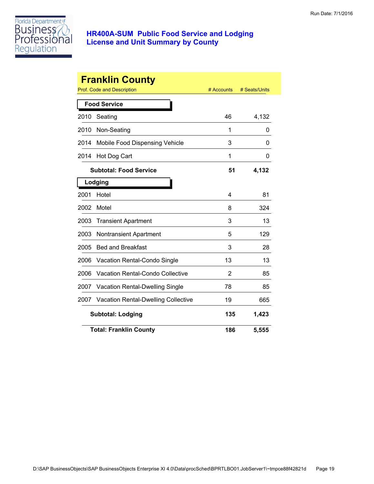

|      | <b>Franklin County</b>                     |            |               |
|------|--------------------------------------------|------------|---------------|
|      | Prof. Code and Description                 | # Accounts | # Seats/Units |
|      | <b>Food Service</b>                        |            |               |
| 2010 | Seating                                    | 46         | 4,132         |
| 2010 | Non-Seating                                | 1          | 0             |
| 2014 | Mobile Food Dispensing Vehicle             | 3          | 0             |
| 2014 | Hot Dog Cart                               | 1          | 0             |
|      | <b>Subtotal: Food Service</b>              | 51         | 4,132         |
|      | Lodging                                    |            |               |
| 2001 | Hotel                                      | 4          | 81            |
| 2002 | Motel                                      | 8          | 324           |
| 2003 | <b>Transient Apartment</b>                 | 3          | 13            |
| 2003 | <b>Nontransient Apartment</b>              | 5          | 129           |
| 2005 | <b>Bed and Breakfast</b>                   | 3          | 28            |
| 2006 | Vacation Rental-Condo Single               | 13         | 13            |
| 2006 | Vacation Rental-Condo Collective           | 2          | 85            |
| 2007 | Vacation Rental-Dwelling Single            | 78         | 85            |
| 2007 | <b>Vacation Rental-Dwelling Collective</b> | 19         | 665           |
|      | <b>Subtotal: Lodging</b>                   | 135        | 1,423         |
|      | <b>Total: Franklin County</b>              | 186        | 5,555         |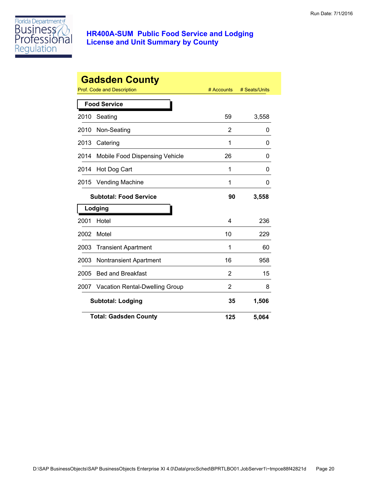

|      | <b>Gadsden County</b><br><b>Prof. Code and Description</b> | # Accounts | # Seats/Units |
|------|------------------------------------------------------------|------------|---------------|
|      | <b>Food Service</b>                                        |            |               |
| 2010 | Seating                                                    | 59         | 3,558         |
| 2010 | Non-Seating                                                | 2          | 0             |
| 2013 | Catering                                                   | 1          | 0             |
| 2014 | Mobile Food Dispensing Vehicle                             | 26         | 0             |
| 2014 | Hot Dog Cart                                               | 1          | O             |
| 2015 | <b>Vending Machine</b>                                     | 1          | 0             |
|      | <b>Subtotal: Food Service</b>                              | 90         | 3,558         |
|      | Lodging                                                    |            |               |
| 2001 | Hotel                                                      | 4          | 236           |
| 2002 | Motel                                                      | 10         | 229           |
| 2003 | <b>Transient Apartment</b>                                 | 1          | 60            |
| 2003 | <b>Nontransient Apartment</b>                              | 16         | 958           |
| 2005 | <b>Bed and Breakfast</b>                                   | 2          | 15            |
| 2007 | Vacation Rental-Dwelling Group                             | 2          | 8             |
|      | <b>Subtotal: Lodging</b>                                   |            | 1,506         |
|      | <b>Total: Gadsden County</b>                               | 125        | 5,064         |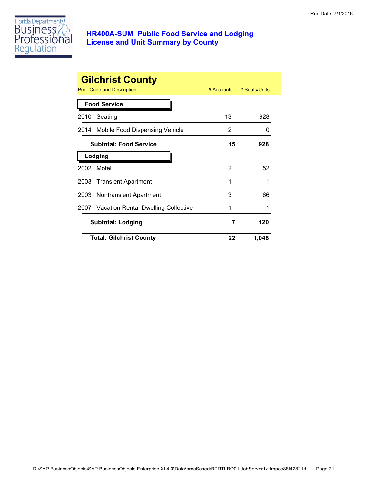

|      | <b>Gilchrist County</b>                  | $#$ Accounts | # Seats/Units |
|------|------------------------------------------|--------------|---------------|
|      | Prof. Code and Description               |              |               |
|      | <b>Food Service</b>                      |              |               |
| 2010 | Seating                                  | 13           | 928           |
|      | 2014 Mobile Food Dispensing Vehicle      | 2            | O             |
|      | <b>Subtotal: Food Service</b>            | 15           | 928           |
|      | Lodging                                  |              |               |
| 2002 | Motel                                    | 2            | 52            |
|      | 2003 Transient Apartment                 | 1            | 1             |
|      | 2003 Nontransient Apartment              | 3            | 66            |
|      | 2007 Vacation Rental-Dwelling Collective | 1            | 1             |
|      | <b>Subtotal: Lodging</b>                 | 7            | 120           |
|      | <b>Total: Gilchrist County</b>           | 22           | 1,048         |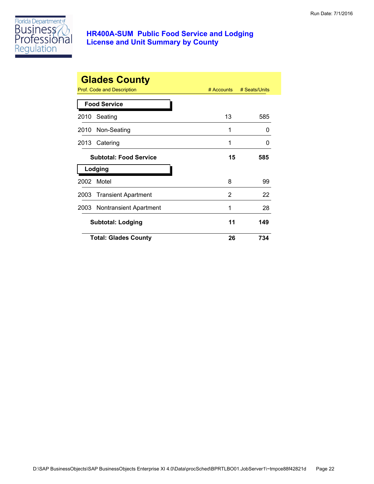

|      | <b>Glades County</b><br>Prof. Code and Description | $#$ Accounts | # Seats/Units |
|------|----------------------------------------------------|--------------|---------------|
|      | <b>Food Service</b>                                |              |               |
| 2010 | Seating                                            | 13           | 585           |
|      | 2010 Non-Seating                                   | 1            | $\Omega$      |
| 2013 | Catering                                           | 1            | 0             |
|      | <b>Subtotal: Food Service</b>                      | 15           | 585           |
|      | Lodging                                            |              |               |
| 2002 | Motel                                              | 8            | 99            |
|      | 2003 Transient Apartment                           | 2            | 22            |
|      | 2003 Nontransient Apartment                        | 1            | 28            |
|      | <b>Subtotal: Lodging</b>                           | 11           | 149           |
|      | <b>Total: Glades County</b>                        | 26           | 734           |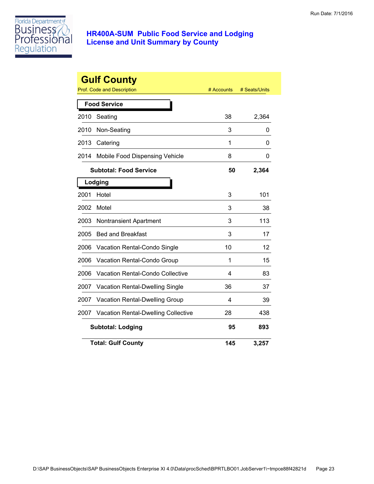

|      | <b>Gulf County</b><br><b>Prof. Code and Description</b> | # Accounts | # Seats/Units |
|------|---------------------------------------------------------|------------|---------------|
|      | <b>Food Service</b>                                     |            |               |
| 2010 | Seating                                                 | 38         | 2,364         |
| 2010 | Non-Seating                                             | 3          | 0             |
| 2013 | Catering                                                | 1          | 0             |
| 2014 | Mobile Food Dispensing Vehicle                          | 8          | 0             |
|      | <b>Subtotal: Food Service</b>                           | 50         | 2,364         |
|      | Lodging                                                 |            |               |
| 2001 | Hotel                                                   | 3          | 101           |
| 2002 | Motel                                                   | 3          | 38            |
| 2003 | Nontransient Apartment                                  | 3          | 113           |
| 2005 | <b>Bed and Breakfast</b>                                | 3          | 17            |
| 2006 | Vacation Rental-Condo Single                            | 10         | 12            |
| 2006 | Vacation Rental-Condo Group                             | 1          | 15            |
| 2006 | <b>Vacation Rental-Condo Collective</b>                 | 4          | 83            |
| 2007 | <b>Vacation Rental-Dwelling Single</b>                  | 36         | 37            |
| 2007 | Vacation Rental-Dwelling Group                          | 4          | 39            |
| 2007 | <b>Vacation Rental-Dwelling Collective</b>              | 28         | 438           |
|      | <b>Subtotal: Lodging</b>                                | 95         | 893           |
|      | <b>Total: Gulf County</b>                               | 145        | 3,257         |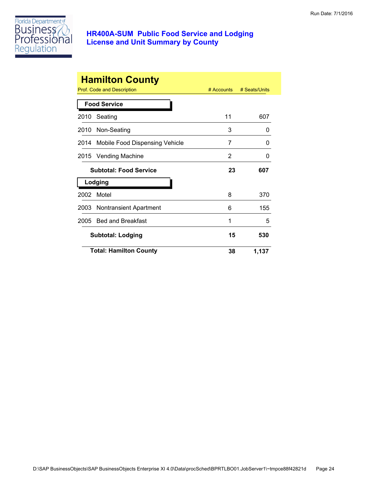

|      | <b>Hamilton County</b><br>Prof. Code and Description | $#$ Accounts | # Seats/Units |
|------|------------------------------------------------------|--------------|---------------|
|      | <b>Food Service</b>                                  |              |               |
| 2010 | Seating                                              | 11           | 607           |
|      | 2010 Non-Seating                                     | 3            | 0             |
| 2014 | Mobile Food Dispensing Vehicle                       | 7            | 0             |
|      | 2015 Vending Machine                                 | 2            | 0             |
|      | <b>Subtotal: Food Service</b>                        | 23           | 607           |
|      | Lodging                                              |              |               |
| 2002 | Motel                                                | 8            | 370           |
|      | 2003 Nontransient Apartment                          | 6            | 155           |
| 2005 | <b>Bed and Breakfast</b>                             | 1            | 5             |
|      | <b>Subtotal: Lodging</b>                             | 15           | 530           |
|      | <b>Total: Hamilton County</b>                        | 38           | 1,137         |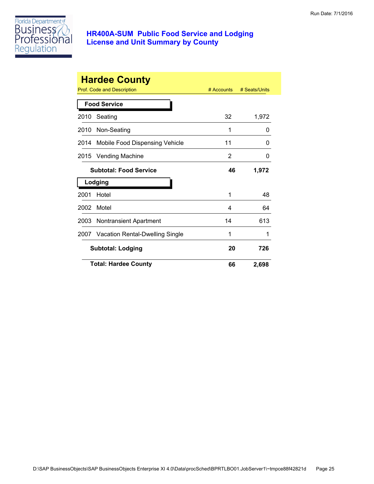

|      | <b>Hardee County</b>            |            |               |
|------|---------------------------------|------------|---------------|
|      | Prof. Code and Description      | # Accounts | # Seats/Units |
|      | <b>Food Service</b>             |            |               |
| 2010 | Seating                         | 32         | 1,972         |
| 2010 | Non-Seating                     | 1          | 0             |
| 2014 | Mobile Food Dispensing Vehicle  | 11         | 0             |
| 2015 | <b>Vending Machine</b>          | 2          | 0             |
|      | <b>Subtotal: Food Service</b>   | 46         | 1,972         |
|      | Lodging                         |            |               |
| 2001 | Hotel                           | 1          | 48            |
| 2002 | Motel                           | 4          | 64            |
| 2003 | <b>Nontransient Apartment</b>   | 14         | 613           |
| 2007 | Vacation Rental-Dwelling Single | 1          | 1             |
|      | <b>Subtotal: Lodging</b>        | 20         | 726           |
|      | <b>Total: Hardee County</b>     | 66         | 2,698         |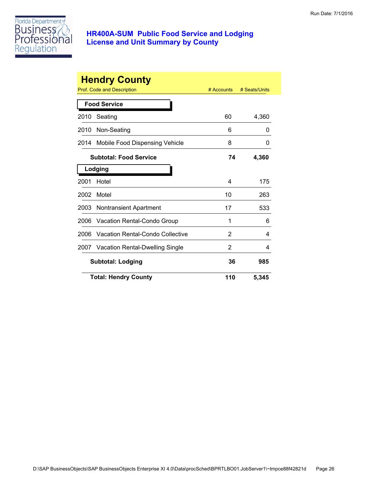

|      | <b>Hendry County</b>                   |              |               |
|------|----------------------------------------|--------------|---------------|
|      | Prof. Code and Description             | $#$ Accounts | # Seats/Units |
|      | <b>Food Service</b>                    |              |               |
| 2010 | Seating                                | 60           | 4,360         |
| 2010 | Non-Seating                            | 6            | 0             |
| 2014 | Mobile Food Dispensing Vehicle         | 8            | 0             |
|      | <b>Subtotal: Food Service</b>          | 74           | 4,360         |
|      | Lodging                                |              |               |
| 2001 | Hotel                                  | 4            | 175           |
| 2002 | Motel                                  | 10           | 263           |
| 2003 | Nontransient Apartment                 | 17           | 533           |
| 2006 | Vacation Rental-Condo Group            | 1            | 6             |
| 2006 | Vacation Rental-Condo Collective       | 2            | 4             |
| 2007 | <b>Vacation Rental-Dwelling Single</b> | 2            | 4             |
|      | <b>Subtotal: Lodging</b>               | 36           | 985           |
|      | <b>Total: Hendry County</b>            | 110          | 5,345         |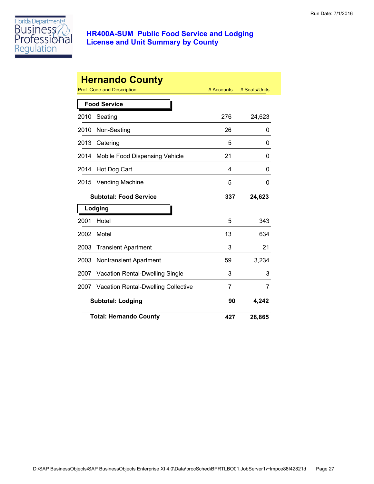

|      | <b>Hernando County</b><br>Prof. Code and Description | # Accounts | # Seats/Units |
|------|------------------------------------------------------|------------|---------------|
|      | <b>Food Service</b>                                  |            |               |
| 2010 | Seating                                              | 276        | 24,623        |
| 2010 | Non-Seating                                          | 26         | 0             |
| 2013 | Catering                                             | 5          | 0             |
| 2014 | Mobile Food Dispensing Vehicle                       | 21         | 0             |
| 2014 | Hot Dog Cart                                         | 4          | 0             |
| 2015 | <b>Vending Machine</b>                               | 5          | 0             |
|      | <b>Subtotal: Food Service</b>                        | 337        | 24,623        |
|      | Lodging                                              |            |               |
| 2001 | Hotel                                                | 5          | 343           |
| 2002 | Motel                                                | 13         | 634           |
| 2003 | <b>Transient Apartment</b>                           | 3          | 21            |
| 2003 | <b>Nontransient Apartment</b>                        | 59         | 3,234         |
| 2007 | <b>Vacation Rental-Dwelling Single</b>               | 3          | 3             |
| 2007 | <b>Vacation Rental-Dwelling Collective</b>           | 7          | 7             |
|      | <b>Subtotal: Lodging</b>                             | 90         | 4,242         |
|      | <b>Total: Hernando County</b>                        | 427        | 28,865        |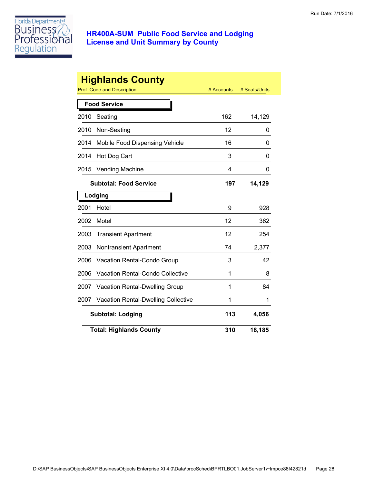

|      | <b>Highlands County</b><br><b>Prof. Code and Description</b> | # Accounts | # Seats/Units |
|------|--------------------------------------------------------------|------------|---------------|
|      |                                                              |            |               |
|      | <b>Food Service</b>                                          |            |               |
| 2010 | Seating                                                      | 162        | 14,129        |
| 2010 | Non-Seating                                                  | 12         | 0             |
| 2014 | Mobile Food Dispensing Vehicle                               | 16         | 0             |
| 2014 | Hot Dog Cart                                                 | 3          | 0             |
| 2015 | <b>Vending Machine</b>                                       | 4          | 0             |
|      | <b>Subtotal: Food Service</b>                                | 197        | 14,129        |
|      | Lodging                                                      |            |               |
| 2001 | Hotel                                                        | 9          | 928           |
| 2002 | Motel                                                        | 12         | 362           |
| 2003 | <b>Transient Apartment</b>                                   | 12         | 254           |
| 2003 | <b>Nontransient Apartment</b>                                | 74         | 2,377         |
| 2006 | Vacation Rental-Condo Group                                  | 3          | 42            |
| 2006 | <b>Vacation Rental-Condo Collective</b>                      | 1          | 8             |
| 2007 | Vacation Rental-Dwelling Group                               | 1          | 84            |
| 2007 | Vacation Rental-Dwelling Collective                          | 1          | 1             |
|      | <b>Subtotal: Lodging</b>                                     | 113        | 4,056         |
|      | <b>Total: Highlands County</b>                               | 310        | 18,185        |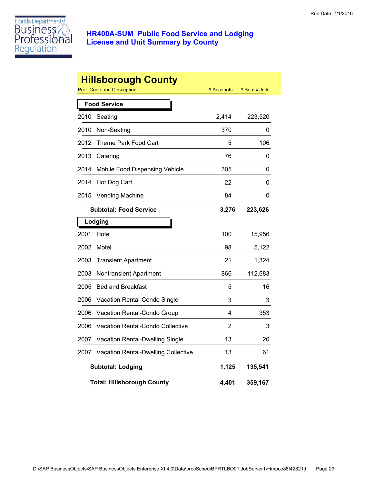

|      | <b>Hillsborough County</b><br>Prof. Code and Description | # Accounts | # Seats/Units |
|------|----------------------------------------------------------|------------|---------------|
|      |                                                          |            |               |
|      | <b>Food Service</b>                                      |            |               |
| 2010 | Seating                                                  | 2,414      | 223,520       |
| 2010 | Non-Seating                                              | 370        | 0             |
| 2012 | Theme Park Food Cart                                     | 5          | 106           |
| 2013 | Catering                                                 | 76         | 0             |
| 2014 | Mobile Food Dispensing Vehicle                           | 305        | 0             |
| 2014 | Hot Dog Cart                                             | 22         | 0             |
| 2015 | <b>Vending Machine</b>                                   | 84         | 0             |
|      | <b>Subtotal: Food Service</b>                            | 3,276      | 223,626       |
|      | Lodging                                                  |            |               |
| 2001 | Hotel                                                    | 100        | 15,956        |
| 2002 | Motel                                                    | 98         | 5,122         |
| 2003 | <b>Transient Apartment</b>                               | 21         | 1,324         |
| 2003 | <b>Nontransient Apartment</b>                            | 866        | 112,683       |
| 2005 | <b>Bed and Breakfast</b>                                 | 5          | 16            |
| 2006 | Vacation Rental-Condo Single                             | 3          | 3             |
| 2006 | Vacation Rental-Condo Group                              | 4          | 353           |
| 2006 | Vacation Rental-Condo Collective                         | 2          | 3             |
| 2007 | Vacation Rental-Dwelling Single                          | 13         | 20            |
| 2007 | Vacation Rental-Dwelling Collective                      | 13         | 61            |
|      | <b>Subtotal: Lodging</b>                                 | 1,125      | 135,541       |
|      | <b>Total: Hillsborough County</b>                        | 4,401      | 359,167       |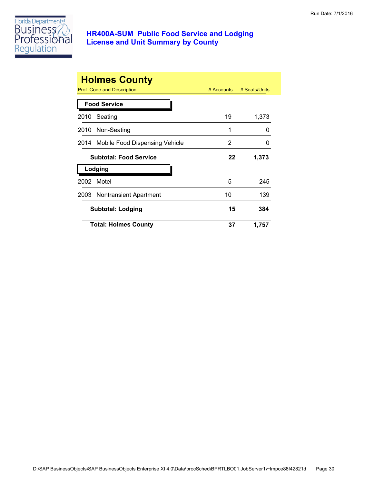

|      | <b>Holmes County</b><br>Prof. Code and Description | $#$ Accounts | # Seats/Units |
|------|----------------------------------------------------|--------------|---------------|
|      | <b>Food Service</b>                                |              |               |
| 2010 | Seating                                            | 19           | 1,373         |
| 2010 | Non-Seating                                        | 1            | O             |
|      | 2014 Mobile Food Dispensing Vehicle                | 2            | O             |
|      | <b>Subtotal: Food Service</b>                      | 22           | 1,373         |
|      | Lodging                                            |              |               |
| 2002 | Motel                                              | 5            | 245           |
|      | 2003 Nontransient Apartment                        | 10           | 139           |
|      | <b>Subtotal: Lodging</b>                           | 15           | 384           |
|      | <b>Total: Holmes County</b>                        | 37           | 1,757         |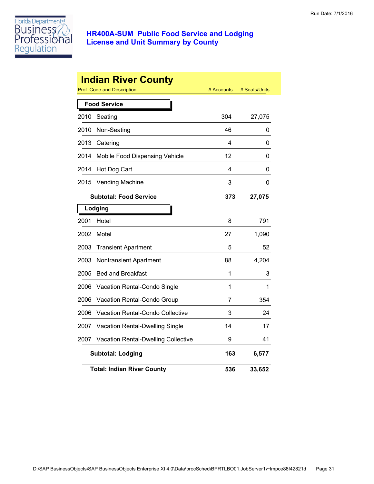

|      | <b>Indian River County</b><br>Prof. Code and Description | # Accounts | # Seats/Units |
|------|----------------------------------------------------------|------------|---------------|
|      | <b>Food Service</b>                                      |            |               |
| 2010 | Seating                                                  | 304        | 27,075        |
| 2010 | Non-Seating                                              | 46         | 0             |
| 2013 | Catering                                                 | 4          | 0             |
| 2014 | Mobile Food Dispensing Vehicle                           | 12         | 0             |
| 2014 | Hot Dog Cart                                             | 4          | 0             |
| 2015 | <b>Vending Machine</b>                                   | 3          | 0             |
|      | <b>Subtotal: Food Service</b>                            | 373        | 27,075        |
|      | Lodging                                                  |            |               |
| 2001 | Hotel                                                    | 8          | 791           |
| 2002 | Motel                                                    | 27         | 1,090         |
| 2003 | <b>Transient Apartment</b>                               | 5          | 52            |
| 2003 | Nontransient Apartment                                   | 88         | 4,204         |
| 2005 | <b>Bed and Breakfast</b>                                 | 1          | 3             |
| 2006 | Vacation Rental-Condo Single                             | 1          | 1             |
| 2006 | Vacation Rental-Condo Group                              | 7          | 354           |
| 2006 | Vacation Rental-Condo Collective                         | 3          | 24            |
| 2007 | Vacation Rental-Dwelling Single                          | 14         | 17            |
| 2007 | <b>Vacation Rental-Dwelling Collective</b>               | 9          | 41            |
|      | <b>Subtotal: Lodging</b>                                 | 163        | 6,577         |
|      | <b>Total: Indian River County</b>                        | 536        | 33,652        |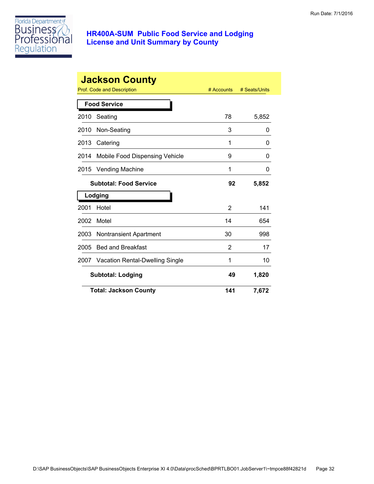

|      | <b>Jackson County</b>           |              |               |
|------|---------------------------------|--------------|---------------|
|      | Prof. Code and Description      | $#$ Accounts | # Seats/Units |
|      | <b>Food Service</b>             |              |               |
| 2010 | Seating                         | 78           | 5,852         |
| 2010 | Non-Seating                     | 3            | 0             |
| 2013 | Catering                        | 1            | 0             |
| 2014 | Mobile Food Dispensing Vehicle  | 9            | 0             |
| 2015 | <b>Vending Machine</b>          | 1            | 0             |
|      | <b>Subtotal: Food Service</b>   | 92           | 5,852         |
|      | Lodging                         |              |               |
| 2001 | Hotel                           | 2            | 141           |
| 2002 | Motel                           | 14           | 654           |
| 2003 | <b>Nontransient Apartment</b>   | 30           | 998           |
| 2005 | <b>Bed and Breakfast</b>        | 2            | 17            |
| 2007 | Vacation Rental-Dwelling Single | 1            | 10            |
|      | <b>Subtotal: Lodging</b>        | 49           | 1,820         |
|      | <b>Total: Jackson County</b>    | 141          | 7,672         |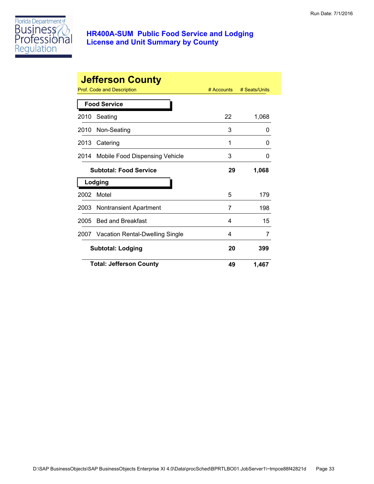

|      | <b>Jefferson County</b>              |            |               |
|------|--------------------------------------|------------|---------------|
|      | Prof. Code and Description           | # Accounts | # Seats/Units |
|      | <b>Food Service</b>                  |            |               |
| 2010 | Seating                              | 22         | 1,068         |
| 2010 | Non-Seating                          | 3          | 0             |
| 2013 | Catering                             | 1          | O             |
| 2014 | Mobile Food Dispensing Vehicle       | 3          | O             |
|      | <b>Subtotal: Food Service</b>        | 29         | 1,068         |
|      | Lodging                              |            |               |
| 2002 | Motel                                | 5          | 179           |
| 2003 | <b>Nontransient Apartment</b>        | 7          | 198           |
| 2005 | <b>Bed and Breakfast</b>             | 4          | 15            |
|      | 2007 Vacation Rental-Dwelling Single | 4          | 7             |
|      | <b>Subtotal: Lodging</b>             | 20         | 399           |
|      | <b>Total: Jefferson County</b>       | 49         | 1,467         |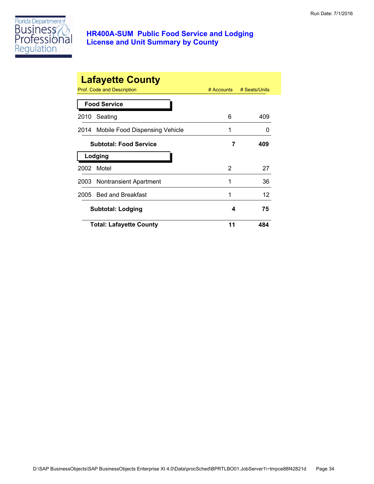

|                          | <b>Lafayette County</b><br>Prof. Code and Description<br># Accounts<br># Seats/Units |    |     |  |
|--------------------------|--------------------------------------------------------------------------------------|----|-----|--|
|                          | <b>Food Service</b>                                                                  |    |     |  |
| 2010                     | Seating                                                                              | 6  | 409 |  |
|                          | 2014 Mobile Food Dispensing Vehicle                                                  | 1  | 0   |  |
|                          | <b>Subtotal: Food Service</b>                                                        | 7  | 409 |  |
|                          | Lodging                                                                              |    |     |  |
| 2002                     | Motel                                                                                | 2  | 27  |  |
|                          | 2003 Nontransient Apartment                                                          | 1  | 36  |  |
|                          | 2005 Bed and Breakfast                                                               | 1  | 12  |  |
| <b>Subtotal: Lodging</b> |                                                                                      | 4  | 75  |  |
|                          | <b>Total: Lafayette County</b>                                                       | 11 | 484 |  |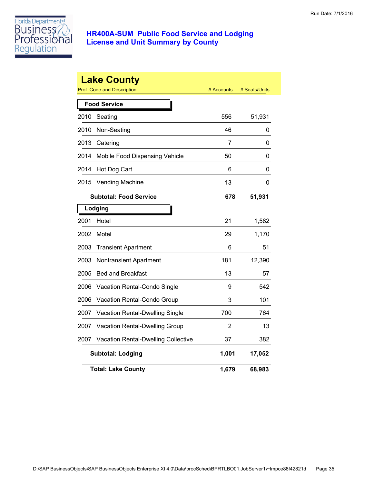

|      | <b>Lake County</b><br><b>Prof. Code and Description</b> | # Accounts | # Seats/Units |
|------|---------------------------------------------------------|------------|---------------|
|      | <b>Food Service</b>                                     |            |               |
| 2010 | Seating                                                 | 556        | 51,931        |
| 2010 | Non-Seating                                             | 46         | 0             |
| 2013 | Catering                                                | 7          | 0             |
| 2014 | Mobile Food Dispensing Vehicle                          | 50         | 0             |
| 2014 | Hot Dog Cart                                            | 6          | 0             |
| 2015 | <b>Vending Machine</b>                                  | 13         | 0             |
|      | <b>Subtotal: Food Service</b>                           | 678        | 51,931        |
|      | Lodging                                                 |            |               |
| 2001 | Hotel                                                   | 21         | 1,582         |
| 2002 | Motel                                                   | 29         | 1,170         |
| 2003 | <b>Transient Apartment</b>                              | 6          | 51            |
| 2003 | <b>Nontransient Apartment</b>                           | 181        | 12,390        |
| 2005 | <b>Bed and Breakfast</b>                                | 13         | 57            |
| 2006 | Vacation Rental-Condo Single                            | 9          | 542           |
| 2006 | Vacation Rental-Condo Group                             | 3          | 101           |
| 2007 | Vacation Rental-Dwelling Single                         | 700        | 764           |
| 2007 | Vacation Rental-Dwelling Group                          | 2          | 13            |
| 2007 | Vacation Rental-Dwelling Collective                     | 37         | 382           |
|      | <b>Subtotal: Lodging</b>                                | 1,001      | 17,052        |
|      | <b>Total: Lake County</b>                               | 1,679      | 68,983        |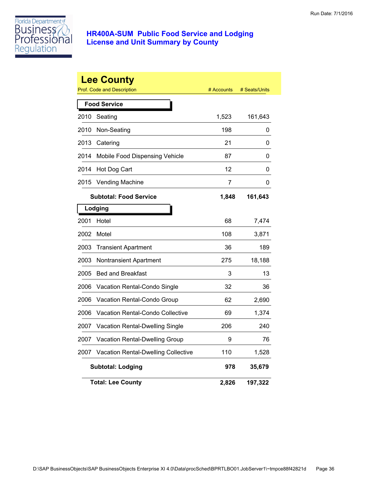

|      | <b>Lee County</b><br>Prof. Code and Description | # Accounts | # Seats/Units |
|------|-------------------------------------------------|------------|---------------|
|      | <b>Food Service</b>                             |            |               |
| 2010 | Seating                                         | 1,523      | 161,643       |
| 2010 | Non-Seating                                     | 198        | 0             |
| 2013 | Catering                                        | 21         | 0             |
| 2014 | Mobile Food Dispensing Vehicle                  | 87         | 0             |
| 2014 | Hot Dog Cart                                    | 12         | 0             |
| 2015 | <b>Vending Machine</b>                          | 7          | 0             |
|      | <b>Subtotal: Food Service</b>                   | 1,848      | 161,643       |
|      | Lodging                                         |            |               |
| 2001 | Hotel                                           | 68         | 7,474         |
| 2002 | Motel                                           | 108        | 3,871         |
| 2003 | <b>Transient Apartment</b>                      | 36         | 189           |
| 2003 | <b>Nontransient Apartment</b>                   | 275        | 18,188        |
| 2005 | <b>Bed and Breakfast</b>                        | 3          | 13            |
| 2006 | Vacation Rental-Condo Single                    | 32         | 36            |
| 2006 | Vacation Rental-Condo Group                     | 62         | 2,690         |
| 2006 | Vacation Rental-Condo Collective                | 69         | 1,374         |
| 2007 | Vacation Rental-Dwelling Single                 | 206        | 240           |
| 2007 | Vacation Rental-Dwelling Group                  | 9          | 76            |
| 2007 | <b>Vacation Rental-Dwelling Collective</b>      | 110        | 1,528         |
|      | <b>Subtotal: Lodging</b>                        | 978        | 35,679        |
|      | <b>Total: Lee County</b>                        | 2,826      | 197,322       |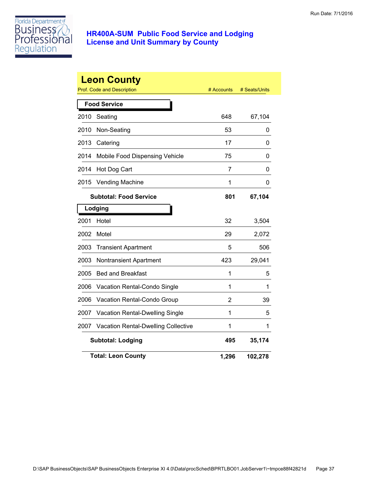

|      | <b>Leon County</b><br><b>Prof. Code and Description</b> | # Accounts | # Seats/Units |
|------|---------------------------------------------------------|------------|---------------|
|      | <b>Food Service</b>                                     |            |               |
| 2010 | Seating                                                 | 648        | 67,104        |
| 2010 | Non-Seating                                             | 53         | 0             |
| 2013 | Catering                                                | 17         | 0             |
| 2014 | Mobile Food Dispensing Vehicle                          | 75         | 0             |
| 2014 | Hot Dog Cart                                            | 7          | 0             |
| 2015 | <b>Vending Machine</b>                                  | 1          | 0             |
|      | <b>Subtotal: Food Service</b>                           | 801        | 67,104        |
|      | Lodging                                                 |            |               |
| 2001 | Hotel                                                   | 32         | 3,504         |
| 2002 | Motel                                                   | 29         | 2,072         |
| 2003 | <b>Transient Apartment</b>                              | 5          | 506           |
| 2003 | Nontransient Apartment                                  | 423        | 29,041        |
| 2005 | <b>Bed and Breakfast</b>                                | 1          | 5             |
| 2006 | Vacation Rental-Condo Single                            | 1          | 1             |
| 2006 | Vacation Rental-Condo Group                             | 2          | 39            |
| 2007 | Vacation Rental-Dwelling Single                         | 1          | 5             |
| 2007 | Vacation Rental-Dwelling Collective                     | 1          | 1             |
|      | <b>Subtotal: Lodging</b>                                | 495        | 35,174        |
|      | <b>Total: Leon County</b>                               | 1,296      | 102,278       |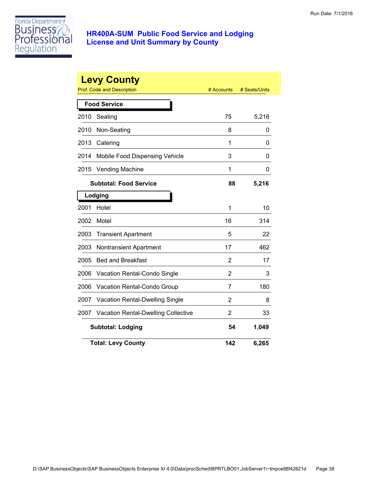

|      | <b>Levy County</b><br><b>Prof. Code and Description</b> | # Accounts | # Seats/Units |
|------|---------------------------------------------------------|------------|---------------|
|      | <b>Food Service</b>                                     |            |               |
| 2010 | Seating                                                 | 75         | 5,216         |
| 2010 | Non-Seating                                             | 8          | 0             |
| 2013 | Catering                                                | 1          | 0             |
| 2014 | Mobile Food Dispensing Vehicle                          | 3          | 0             |
| 2015 | <b>Vending Machine</b>                                  | 1          | 0             |
|      | <b>Subtotal: Food Service</b>                           | 88         | 5,216         |
|      | Lodging                                                 |            |               |
| 2001 | Hotel                                                   | 1          | 10            |
| 2002 | Motel                                                   | 16         | 314           |
| 2003 | <b>Transient Apartment</b>                              | 5          | 22            |
| 2003 | <b>Nontransient Apartment</b>                           | 17         | 462           |
| 2005 | <b>Bed and Breakfast</b>                                | 2          | 17            |
| 2006 | Vacation Rental-Condo Single                            | 2          | 3             |
| 2006 | Vacation Rental-Condo Group                             | 7          | 180           |
| 2007 | Vacation Rental-Dwelling Single                         | 2          | 8             |
| 2007 | <b>Vacation Rental-Dwelling Collective</b>              | 2          | 33            |
|      | <b>Subtotal: Lodging</b>                                | 54         | 1,049         |
|      | <b>Total: Levy County</b>                               | 142        | 6,265         |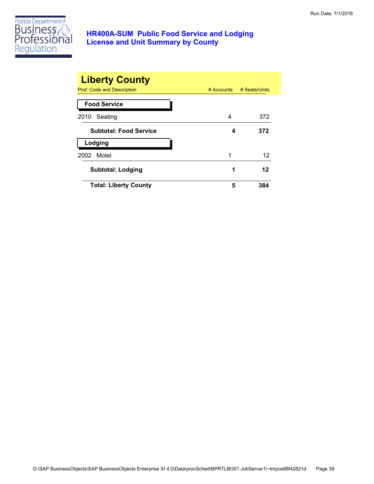

| <b>Liberty County</b>         |            |               |
|-------------------------------|------------|---------------|
| Prof. Code and Description    | # Accounts | # Seats/Units |
| <b>Food Service</b>           |            |               |
| Seating<br>2010               | 4          | 372           |
| <b>Subtotal: Food Service</b> | 4          | 372           |
| Lodging                       |            |               |
| Motel<br>2002                 | 1          | 12            |
| <b>Subtotal: Lodging</b>      | 1          | 12            |
| <b>Total: Liberty County</b>  | 5          | 384           |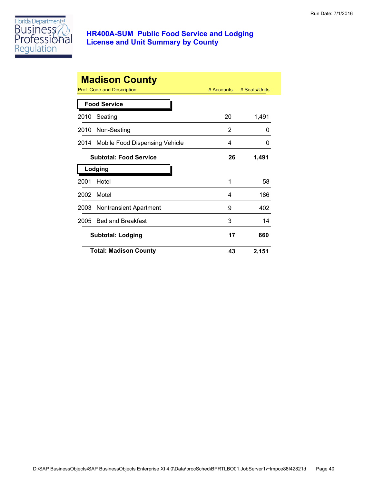

|      | <b>Madison County</b><br>Prof. Code and Description | $#$ Accounts | # Seats/Units |
|------|-----------------------------------------------------|--------------|---------------|
|      | <b>Food Service</b>                                 |              |               |
| 2010 | Seating                                             | 20           | 1,491         |
| 2010 | Non-Seating                                         | 2            | 0             |
| 2014 | Mobile Food Dispensing Vehicle                      | 4            | 0             |
|      | <b>Subtotal: Food Service</b>                       | 26           | 1,491         |
|      | Lodging                                             |              |               |
| 2001 | Hotel                                               | 1            | 58            |
| 2002 | Motel                                               | 4            | 186           |
| 2003 | <b>Nontransient Apartment</b>                       | 9            | 402           |
| 2005 | <b>Bed and Breakfast</b>                            | 3            | 14            |
|      | <b>Subtotal: Lodging</b>                            | 17           | 660           |
|      | <b>Total: Madison County</b>                        | 43           | 2,151         |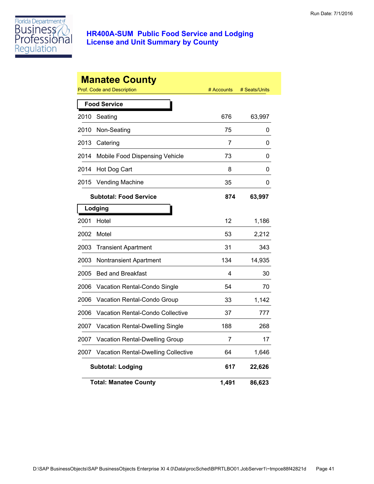

|      | <b>Manatee County</b><br>Prof. Code and Description | # Accounts | # Seats/Units |
|------|-----------------------------------------------------|------------|---------------|
|      | <b>Food Service</b>                                 |            |               |
| 2010 | Seating                                             | 676        | 63,997        |
| 2010 | Non-Seating                                         | 75         | 0             |
| 2013 | Catering                                            | 7          | 0             |
| 2014 | Mobile Food Dispensing Vehicle                      | 73         | 0             |
| 2014 | Hot Dog Cart                                        | 8          | 0             |
| 2015 | <b>Vending Machine</b>                              | 35         | 0             |
|      | <b>Subtotal: Food Service</b>                       | 874        | 63,997        |
|      | Lodging                                             |            |               |
| 2001 | Hotel                                               | 12         | 1,186         |
| 2002 | Motel                                               | 53         | 2,212         |
| 2003 | <b>Transient Apartment</b>                          | 31         | 343           |
| 2003 | Nontransient Apartment                              | 134        | 14,935        |
| 2005 | <b>Bed and Breakfast</b>                            | 4          | 30            |
| 2006 | Vacation Rental-Condo Single                        | 54         | 70            |
| 2006 | Vacation Rental-Condo Group                         | 33         | 1,142         |
| 2006 | Vacation Rental-Condo Collective                    | 37         | 777           |
| 2007 | Vacation Rental-Dwelling Single                     | 188        | 268           |
| 2007 | Vacation Rental-Dwelling Group                      | 7          | 17            |
| 2007 | <b>Vacation Rental-Dwelling Collective</b>          | 64         | 1,646         |
|      | <b>Subtotal: Lodging</b>                            | 617        | 22,626        |
|      | <b>Total: Manatee County</b>                        | 1,491      | 86,623        |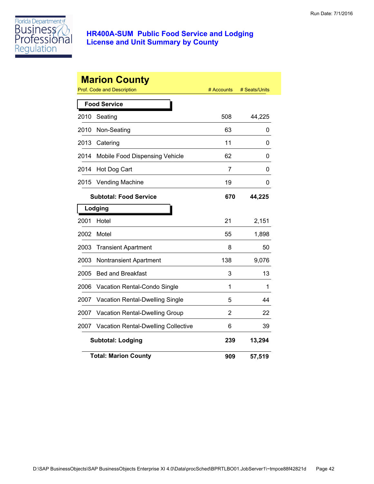

|      | <b>Marion County</b><br><b>Prof. Code and Description</b> | # Accounts     | # Seats/Units |
|------|-----------------------------------------------------------|----------------|---------------|
|      | <b>Food Service</b>                                       |                |               |
| 2010 | Seating                                                   | 508            | 44,225        |
| 2010 | Non-Seating                                               | 63             | 0             |
| 2013 | Catering                                                  | 11             | 0             |
| 2014 | Mobile Food Dispensing Vehicle                            | 62             | 0             |
| 2014 | Hot Dog Cart                                              | $\overline{7}$ | 0             |
| 2015 | <b>Vending Machine</b>                                    | 19             | 0             |
|      | <b>Subtotal: Food Service</b>                             | 670            | 44,225        |
|      | Lodging                                                   |                |               |
| 2001 | Hotel                                                     | 21             | 2,151         |
| 2002 | Motel                                                     | 55             | 1,898         |
| 2003 | <b>Transient Apartment</b>                                | 8              | 50            |
| 2003 | <b>Nontransient Apartment</b>                             | 138            | 9,076         |
| 2005 | <b>Bed and Breakfast</b>                                  | 3              | 13            |
| 2006 | Vacation Rental-Condo Single                              | 1              | 1             |
| 2007 | Vacation Rental-Dwelling Single                           | 5              | 44            |
| 2007 | Vacation Rental-Dwelling Group                            | 2              | 22            |
| 2007 | <b>Vacation Rental-Dwelling Collective</b>                | 6              | 39            |
|      | <b>Subtotal: Lodging</b>                                  | 239            | 13,294        |
|      | <b>Total: Marion County</b>                               | 909            | 57,519        |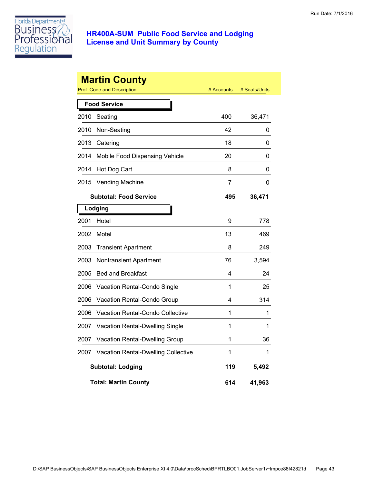

|      | <b>Martin County</b><br>Prof. Code and Description | # Accounts | # Seats/Units |
|------|----------------------------------------------------|------------|---------------|
|      | <b>Food Service</b>                                |            |               |
| 2010 | Seating                                            | 400        | 36,471        |
| 2010 | Non-Seating                                        | 42         | 0             |
| 2013 | Catering                                           | 18         | 0             |
| 2014 | Mobile Food Dispensing Vehicle                     | 20         | 0             |
| 2014 | Hot Dog Cart                                       | 8          | 0             |
| 2015 | <b>Vending Machine</b>                             | 7          | 0             |
|      | <b>Subtotal: Food Service</b>                      | 495        | 36,471        |
|      | Lodging                                            |            |               |
| 2001 | Hotel                                              | 9          | 778           |
| 2002 | Motel                                              | 13         | 469           |
| 2003 | <b>Transient Apartment</b>                         | 8          | 249           |
| 2003 | Nontransient Apartment                             | 76         | 3,594         |
| 2005 | <b>Bed and Breakfast</b>                           | 4          | 24            |
| 2006 | Vacation Rental-Condo Single                       | 1          | 25            |
| 2006 | Vacation Rental-Condo Group                        | 4          | 314           |
| 2006 | <b>Vacation Rental-Condo Collective</b>            | 1          | 1             |
| 2007 | <b>Vacation Rental-Dwelling Single</b>             | 1          | 1             |
| 2007 | Vacation Rental-Dwelling Group                     | 1          | 36            |
| 2007 | <b>Vacation Rental-Dwelling Collective</b>         | 1          | 1             |
|      | <b>Subtotal: Lodging</b>                           | 119        | 5,492         |
|      | <b>Total: Martin County</b>                        | 614        | 41,963        |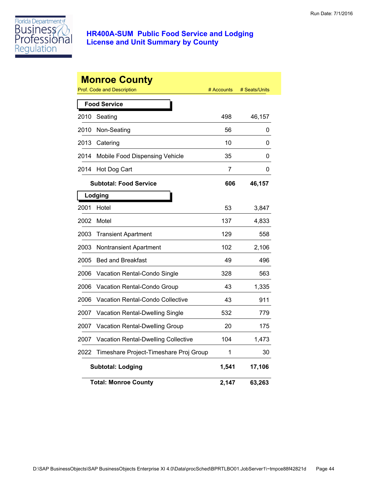

|      | <b>Monroe County</b><br>Prof. Code and Description | # Accounts | # Seats/Units |
|------|----------------------------------------------------|------------|---------------|
|      | <b>Food Service</b>                                |            |               |
| 2010 | Seating                                            | 498        | 46,157        |
| 2010 | Non-Seating                                        | 56         | 0             |
| 2013 | Catering                                           | 10         | 0             |
| 2014 | Mobile Food Dispensing Vehicle                     | 35         | 0             |
| 2014 | Hot Dog Cart                                       | 7          | 0             |
|      | <b>Subtotal: Food Service</b>                      | 606        | 46,157        |
|      | Lodging                                            |            |               |
| 2001 | Hotel                                              | 53         | 3,847         |
| 2002 | Motel                                              | 137        | 4,833         |
| 2003 | <b>Transient Apartment</b>                         | 129        | 558           |
| 2003 | <b>Nontransient Apartment</b>                      | 102        | 2,106         |
| 2005 | <b>Bed and Breakfast</b>                           | 49         | 496           |
| 2006 | Vacation Rental-Condo Single                       | 328        | 563           |
| 2006 | Vacation Rental-Condo Group                        | 43         | 1,335         |
| 2006 | Vacation Rental-Condo Collective                   | 43         | 911           |
| 2007 | Vacation Rental-Dwelling Single                    | 532        | 779           |
| 2007 | <b>Vacation Rental-Dwelling Group</b>              | 20         | 175           |
| 2007 | <b>Vacation Rental-Dwelling Collective</b>         | 104        | 1,473         |
| 2022 | Timeshare Project-Timeshare Proj Group             | 1          | 30            |
|      | <b>Subtotal: Lodging</b>                           | 1,541      | 17,106        |
|      | <b>Total: Monroe County</b>                        | 2,147      | 63,263        |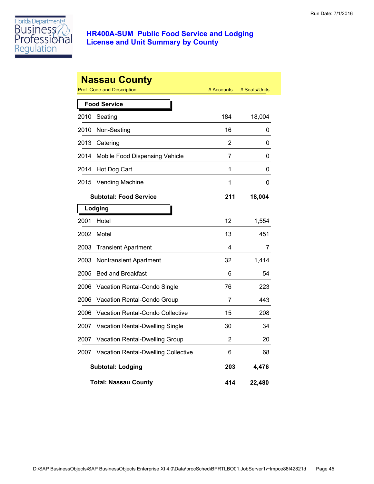

|      | <b>Nassau County</b><br><b>Prof. Code and Description</b> | # Accounts | # Seats/Units |
|------|-----------------------------------------------------------|------------|---------------|
|      | <b>Food Service</b>                                       |            |               |
| 2010 | Seating                                                   | 184        | 18,004        |
| 2010 | Non-Seating                                               | 16         | 0             |
| 2013 | Catering                                                  | 2          | 0             |
| 2014 | Mobile Food Dispensing Vehicle                            | 7          | 0             |
| 2014 | Hot Dog Cart                                              | 1          | 0             |
| 2015 | <b>Vending Machine</b>                                    | 1          | 0             |
|      | <b>Subtotal: Food Service</b>                             | 211        | 18,004        |
|      | Lodging                                                   |            |               |
| 2001 | Hotel                                                     | 12         | 1,554         |
| 2002 | Motel                                                     | 13         | 451           |
| 2003 | <b>Transient Apartment</b>                                | 4          | 7             |
| 2003 | Nontransient Apartment                                    | 32         | 1,414         |
| 2005 | <b>Bed and Breakfast</b>                                  | 6          | 54            |
| 2006 | Vacation Rental-Condo Single                              | 76         | 223           |
| 2006 | Vacation Rental-Condo Group                               | 7          | 443           |
| 2006 | <b>Vacation Rental-Condo Collective</b>                   | 15         | 208           |
| 2007 | Vacation Rental-Dwelling Single                           | 30         | 34            |
| 2007 | Vacation Rental-Dwelling Group                            | 2          | 20            |
| 2007 | <b>Vacation Rental-Dwelling Collective</b>                | 6          | 68            |
|      | <b>Subtotal: Lodging</b>                                  | 203        | 4,476         |
|      | <b>Total: Nassau County</b>                               | 414        | 22,480        |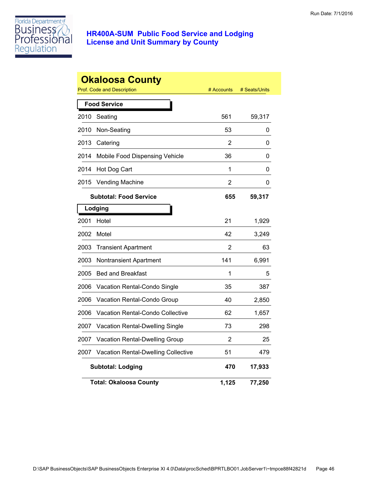

|      | <b>Okaloosa County</b><br>Prof. Code and Description | # Accounts     | # Seats/Units |
|------|------------------------------------------------------|----------------|---------------|
|      | <b>Food Service</b>                                  |                |               |
| 2010 | Seating                                              | 561            | 59,317        |
| 2010 | Non-Seating                                          | 53             | 0             |
| 2013 | Catering                                             | 2              | 0             |
| 2014 | Mobile Food Dispensing Vehicle                       | 36             | 0             |
| 2014 | Hot Dog Cart                                         | 1              | 0             |
| 2015 | <b>Vending Machine</b>                               | $\overline{2}$ | 0             |
|      | <b>Subtotal: Food Service</b>                        | 655            | 59,317        |
|      | Lodging                                              |                |               |
| 2001 | Hotel                                                | 21             | 1,929         |
| 2002 | Motel                                                | 42             | 3,249         |
| 2003 | <b>Transient Apartment</b>                           | 2              | 63            |
| 2003 | <b>Nontransient Apartment</b>                        | 141            | 6,991         |
| 2005 | <b>Bed and Breakfast</b>                             | 1              | 5             |
| 2006 | Vacation Rental-Condo Single                         | 35             | 387           |
| 2006 | Vacation Rental-Condo Group                          | 40             | 2,850         |
| 2006 | <b>Vacation Rental-Condo Collective</b>              | 62             | 1,657         |
| 2007 | Vacation Rental-Dwelling Single                      | 73             | 298           |
| 2007 | Vacation Rental-Dwelling Group                       | 2              | 25            |
| 2007 | <b>Vacation Rental-Dwelling Collective</b>           | 51             | 479           |
|      | <b>Subtotal: Lodging</b>                             | 470            | 17,933        |
|      | <b>Total: Okaloosa County</b>                        | 1,125          | 77,250        |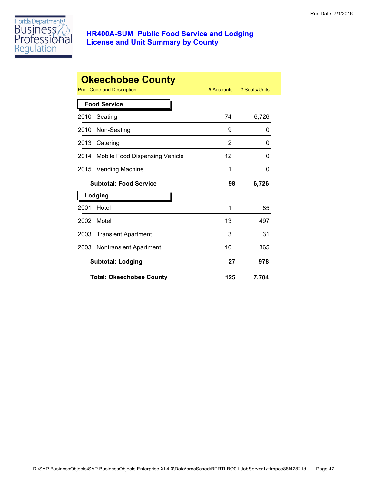

|      | <b>Okeechobee County</b>        |            |               |
|------|---------------------------------|------------|---------------|
|      | Prof. Code and Description      | # Accounts | # Seats/Units |
|      | <b>Food Service</b>             |            |               |
| 2010 | Seating                         | 74         | 6,726         |
| 2010 | Non-Seating                     | 9          | 0             |
| 2013 | Catering                        | 2          | 0             |
| 2014 | Mobile Food Dispensing Vehicle  | 12         | 0             |
| 2015 | <b>Vending Machine</b>          | 1          | 0             |
|      | <b>Subtotal: Food Service</b>   | 98         | 6,726         |
|      | Lodging                         |            |               |
| 2001 | Hotel                           | 1          | 85            |
| 2002 | Motel                           | 13         | 497           |
| 2003 | <b>Transient Apartment</b>      | 3          | 31            |
| 2003 | <b>Nontransient Apartment</b>   | 10         | 365           |
|      | <b>Subtotal: Lodging</b>        | 27         | 978           |
|      | <b>Total: Okeechobee County</b> | 125        | 7,704         |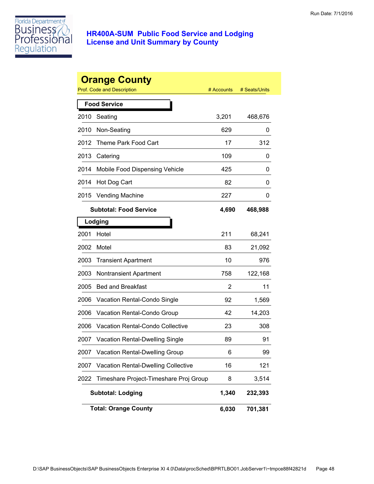

|      | <b>Orange County</b><br>Prof. Code and Description | # Accounts | # Seats/Units |
|------|----------------------------------------------------|------------|---------------|
|      | <b>Food Service</b>                                |            |               |
| 2010 | Seating                                            | 3,201      | 468,676       |
| 2010 | Non-Seating                                        | 629        | 0             |
| 2012 | Theme Park Food Cart                               | 17         | 312           |
| 2013 | Catering                                           | 109        | 0             |
| 2014 | Mobile Food Dispensing Vehicle                     | 425        | 0             |
| 2014 | Hot Dog Cart                                       | 82         | 0             |
| 2015 | <b>Vending Machine</b>                             | 227        | 0             |
|      | <b>Subtotal: Food Service</b>                      | 4,690      | 468,988       |
|      | Lodging                                            |            |               |
| 2001 | Hotel                                              | 211        | 68,241        |
| 2002 | Motel                                              | 83         | 21,092        |
| 2003 | <b>Transient Apartment</b>                         | 10         | 976           |
| 2003 | <b>Nontransient Apartment</b>                      | 758        | 122,168       |
| 2005 | <b>Bed and Breakfast</b>                           | 2          | 11            |
| 2006 | Vacation Rental-Condo Single                       | 92         | 1,569         |
| 2006 | Vacation Rental-Condo Group                        | 42         | 14,203        |
| 2006 | Vacation Rental-Condo Collective                   | 23         | 308           |
| 2007 | <b>Vacation Rental-Dwelling Single</b>             | 89         | 91            |
| 2007 | Vacation Rental-Dwelling Group                     | 6          | 99            |
| 2007 | <b>Vacation Rental-Dwelling Collective</b>         | 16         | 121           |
| 2022 | Timeshare Project-Timeshare Proj Group             | 8          | 3,514         |
|      | <b>Subtotal: Lodging</b>                           | 1,340      | 232,393       |
|      | <b>Total: Orange County</b>                        | 6,030      | 701,381       |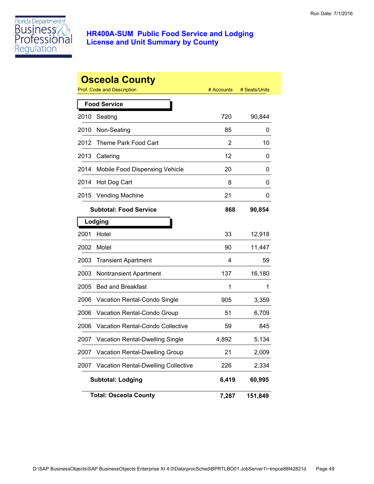

|      | <b>Osceola County</b>                      |            |               |
|------|--------------------------------------------|------------|---------------|
|      | <b>Prof. Code and Description</b>          | # Accounts | # Seats/Units |
|      | <b>Food Service</b>                        |            |               |
| 2010 | Seating                                    | 720        | 90,844        |
| 2010 | Non-Seating                                | 85         | 0             |
| 2012 | Theme Park Food Cart                       | 2          | 10            |
| 2013 | Catering                                   | 12         | 0             |
| 2014 | Mobile Food Dispensing Vehicle             | 20         | 0             |
| 2014 | Hot Dog Cart                               | 8          | 0             |
| 2015 | <b>Vending Machine</b>                     | 21         | 0             |
|      | <b>Subtotal: Food Service</b>              | 868        | 90,854        |
|      | Lodging                                    |            |               |
| 2001 | Hotel                                      | 33         | 12,918        |
| 2002 | Motel                                      | 90         | 11,447        |
| 2003 | <b>Transient Apartment</b>                 | 4          | 59            |
| 2003 | <b>Nontransient Apartment</b>              | 137        | 16,180        |
| 2005 | <b>Bed and Breakfast</b>                   | 1          | 1             |
| 2006 | Vacation Rental-Condo Single               | 905        | 3,359         |
| 2006 | Vacation Rental-Condo Group                | 51         | 6,709         |
| 2006 | <b>Vacation Rental-Condo Collective</b>    | 59         | 845           |
| 2007 | <b>Vacation Rental-Dwelling Single</b>     | 4,892      | 5,134         |
| 2007 | Vacation Rental-Dwelling Group             | 21         | 2,009         |
| 2007 | <b>Vacation Rental-Dwelling Collective</b> | 226        | 2,334         |
|      | <b>Subtotal: Lodging</b>                   | 6,419      | 60,995        |
|      | <b>Total: Osceola County</b>               | 7,287      | 151,849       |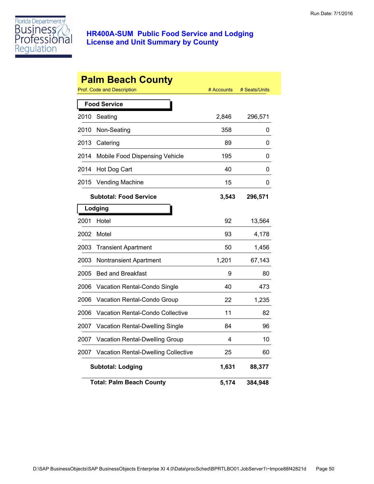

|      | <b>Palm Beach County</b><br>Prof. Code and Description | # Accounts | # Seats/Units |
|------|--------------------------------------------------------|------------|---------------|
|      | <b>Food Service</b>                                    |            |               |
| 2010 | Seating                                                | 2,846      | 296,571       |
| 2010 | Non-Seating                                            | 358        | 0             |
| 2013 | Catering                                               | 89         | 0             |
| 2014 | Mobile Food Dispensing Vehicle                         | 195        | 0             |
| 2014 | Hot Dog Cart                                           | 40         | 0             |
| 2015 | Vending Machine                                        | 15         | 0             |
|      | <b>Subtotal: Food Service</b>                          | 3,543      | 296,571       |
|      | Lodging                                                |            |               |
| 2001 | Hotel                                                  | 92         | 13,564        |
| 2002 | Motel                                                  | 93         | 4,178         |
| 2003 | <b>Transient Apartment</b>                             | 50         | 1,456         |
| 2003 | Nontransient Apartment                                 | 1,201      | 67,143        |
| 2005 | <b>Bed and Breakfast</b>                               | 9          | 80            |
| 2006 | Vacation Rental-Condo Single                           | 40         | 473           |
| 2006 | Vacation Rental-Condo Group                            | 22         | 1,235         |
| 2006 | <b>Vacation Rental-Condo Collective</b>                | 11         | 82            |
| 2007 | Vacation Rental-Dwelling Single                        | 84         | 96            |
| 2007 | Vacation Rental-Dwelling Group                         | 4          | 10            |
| 2007 | Vacation Rental-Dwelling Collective                    | 25         | 60            |
|      | <b>Subtotal: Lodging</b>                               | 1,631      | 88,377        |
|      | <b>Total: Palm Beach County</b>                        | 5,174      | 384,948       |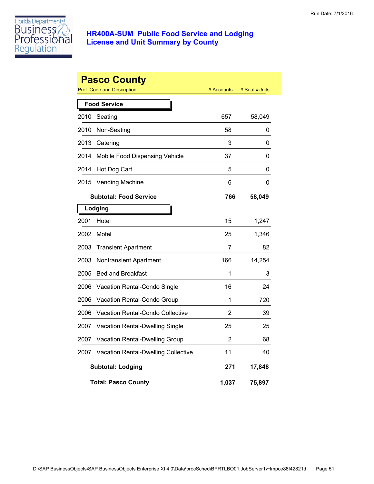

|      | <b>Pasco County</b><br><b>Prof. Code and Description</b> | # Accounts | # Seats/Units |
|------|----------------------------------------------------------|------------|---------------|
|      | <b>Food Service</b>                                      |            |               |
| 2010 | Seating                                                  | 657        | 58,049        |
| 2010 | Non-Seating                                              | 58         | 0             |
| 2013 | Catering                                                 | 3          | 0             |
| 2014 | Mobile Food Dispensing Vehicle                           | 37         | 0             |
| 2014 | Hot Dog Cart                                             | 5          | 0             |
| 2015 | <b>Vending Machine</b>                                   | 6          | 0             |
|      | <b>Subtotal: Food Service</b>                            | 766        | 58,049        |
|      | Lodging                                                  |            |               |
| 2001 | Hotel                                                    | 15         | 1,247         |
| 2002 | Motel                                                    | 25         | 1,346         |
| 2003 | <b>Transient Apartment</b>                               | 7          | 82            |
| 2003 | Nontransient Apartment                                   | 166        | 14,254        |
| 2005 | <b>Bed and Breakfast</b>                                 | 1          | 3             |
| 2006 | Vacation Rental-Condo Single                             | 16         | 24            |
| 2006 | Vacation Rental-Condo Group                              | 1          | 720           |
| 2006 | <b>Vacation Rental-Condo Collective</b>                  | 2          | 39            |
| 2007 | Vacation Rental-Dwelling Single                          | 25         | 25            |
| 2007 | Vacation Rental-Dwelling Group                           | 2          | 68            |
| 2007 | Vacation Rental-Dwelling Collective                      | 11         | 40            |
|      | <b>Subtotal: Lodging</b>                                 | 271        | 17,848        |
|      | <b>Total: Pasco County</b>                               | 1,037      | 75,897        |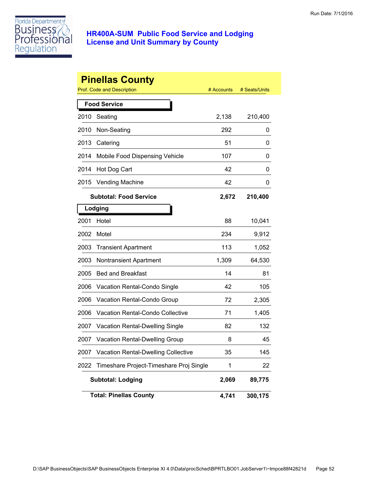

|      | <b>Pinellas County</b><br>Prof. Code and Description | # Accounts | # Seats/Units |
|------|------------------------------------------------------|------------|---------------|
|      | <b>Food Service</b>                                  |            |               |
| 2010 | Seating                                              | 2,138      | 210,400       |
| 2010 | Non-Seating                                          | 292        | 0             |
| 2013 | Catering                                             | 51         | 0             |
| 2014 | Mobile Food Dispensing Vehicle                       | 107        | 0             |
| 2014 | Hot Dog Cart                                         | 42         | 0             |
| 2015 | <b>Vending Machine</b>                               | 42         | 0             |
|      | <b>Subtotal: Food Service</b>                        | 2,672      | 210,400       |
|      | Lodging                                              |            |               |
| 2001 | Hotel                                                | 88         | 10,041        |
| 2002 | Motel                                                | 234        | 9,912         |
| 2003 | <b>Transient Apartment</b>                           | 113        | 1,052         |
| 2003 | <b>Nontransient Apartment</b>                        | 1,309      | 64,530        |
| 2005 | <b>Bed and Breakfast</b>                             | 14         | 81            |
| 2006 | Vacation Rental-Condo Single                         | 42         | 105           |
| 2006 | Vacation Rental-Condo Group                          | 72         | 2,305         |
| 2006 | <b>Vacation Rental-Condo Collective</b>              | 71         | 1,405         |
| 2007 | <b>Vacation Rental-Dwelling Single</b>               | 82         | 132           |
| 2007 | Vacation Rental-Dwelling Group                       | 8          | 45            |
| 2007 | <b>Vacation Rental-Dwelling Collective</b>           | 35         | 145           |
| 2022 | Timeshare Project-Timeshare Proj Single              | 1          | 22            |
|      | <b>Subtotal: Lodging</b>                             | 2,069      | 89,775        |
|      | <b>Total: Pinellas County</b>                        | 4,741      | 300,175       |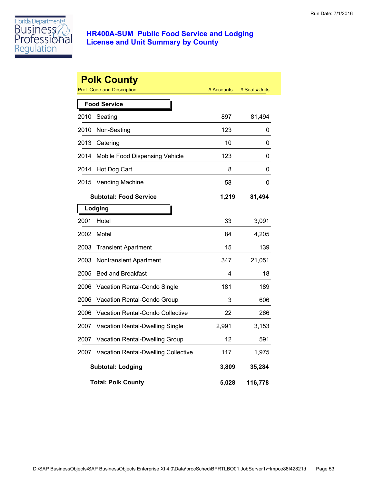

|      | <b>Polk County</b><br>Prof. Code and Description | # Accounts | # Seats/Units |
|------|--------------------------------------------------|------------|---------------|
|      | <b>Food Service</b>                              |            |               |
| 2010 | Seating                                          | 897        | 81,494        |
| 2010 | Non-Seating                                      | 123        | 0             |
| 2013 | Catering                                         | 10         | 0             |
| 2014 | Mobile Food Dispensing Vehicle                   | 123        | 0             |
| 2014 | Hot Dog Cart                                     | 8          | 0             |
| 2015 | <b>Vending Machine</b>                           | 58         | 0             |
|      | <b>Subtotal: Food Service</b>                    | 1,219      | 81,494        |
|      | Lodging                                          |            |               |
| 2001 | Hotel                                            | 33         | 3,091         |
| 2002 | Motel                                            | 84         | 4,205         |
| 2003 | <b>Transient Apartment</b>                       | 15         | 139           |
| 2003 | Nontransient Apartment                           | 347        | 21,051        |
| 2005 | <b>Bed and Breakfast</b>                         | 4          | 18            |
| 2006 | Vacation Rental-Condo Single                     | 181        | 189           |
| 2006 | Vacation Rental-Condo Group                      | 3          | 606           |
| 2006 | <b>Vacation Rental-Condo Collective</b>          | 22         | 266           |
| 2007 | <b>Vacation Rental-Dwelling Single</b>           | 2,991      | 3,153         |
| 2007 | Vacation Rental-Dwelling Group                   | 12         | 591           |
| 2007 | <b>Vacation Rental-Dwelling Collective</b>       | 117        | 1,975         |
|      | <b>Subtotal: Lodging</b>                         | 3,809      | 35,284        |
|      | <b>Total: Polk County</b>                        | 5,028      | 116,778       |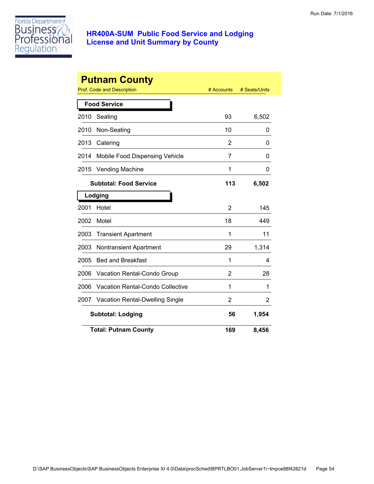

| <b>Putnam County</b> |                                  |                |               |  |
|----------------------|----------------------------------|----------------|---------------|--|
|                      | Prof. Code and Description       | # Accounts     | # Seats/Units |  |
|                      | <b>Food Service</b>              |                |               |  |
| 2010                 | Seating                          | 93             | 6,502         |  |
| 2010                 | Non-Seating                      | 10             | 0             |  |
| 2013                 | Catering                         | $\overline{2}$ | 0             |  |
| 2014                 | Mobile Food Dispensing Vehicle   | 7              | 0             |  |
| 2015                 | <b>Vending Machine</b>           | 1              | 0             |  |
|                      | <b>Subtotal: Food Service</b>    | 113            | 6,502         |  |
|                      | Lodging                          |                |               |  |
| 2001                 | Hotel                            | 2              | 145           |  |
| 2002                 | Motel                            | 18             | 449           |  |
| 2003                 | <b>Transient Apartment</b>       | 1              | 11            |  |
| 2003                 | <b>Nontransient Apartment</b>    | 29             | 1,314         |  |
| 2005                 | <b>Bed and Breakfast</b>         | 1              | 4             |  |
| 2006                 | Vacation Rental-Condo Group      | 2              | 28            |  |
| 2006                 | Vacation Rental-Condo Collective | 1              | 1             |  |
| 2007                 | Vacation Rental-Dwelling Single  | 2              | 2             |  |
|                      | <b>Subtotal: Lodging</b>         | 56             | 1,954         |  |
|                      | <b>Total: Putnam County</b>      | 169            | 8,456         |  |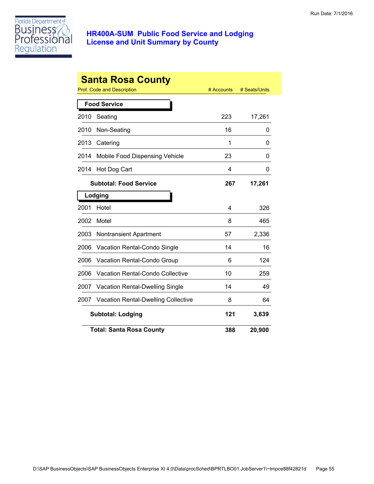

| <b>Santa Rosa County</b>        |                                            |            |               |  |
|---------------------------------|--------------------------------------------|------------|---------------|--|
|                                 | Prof. Code and Description                 | # Accounts | # Seats/Units |  |
|                                 | <b>Food Service</b>                        |            |               |  |
| 2010                            | Seating                                    | 223        | 17,261        |  |
| 2010                            | Non-Seating                                | 16         | 0             |  |
| 2013                            | Catering                                   | 1          | 0             |  |
| 2014                            | Mobile Food Dispensing Vehicle             | 23         | 0             |  |
| 2014                            | Hot Dog Cart                               | 4          | 0             |  |
|                                 | <b>Subtotal: Food Service</b>              | 267        | 17,261        |  |
|                                 | Lodging                                    |            |               |  |
| 2001                            | Hotel                                      | 4          | 326           |  |
| 2002                            | Motel                                      | 8          | 465           |  |
| 2003                            | <b>Nontransient Apartment</b>              | 57         | 2,336         |  |
| 2006                            | Vacation Rental-Condo Single               | 14         | 16            |  |
| 2006                            | Vacation Rental-Condo Group                | 6          | 124           |  |
| 2006                            | Vacation Rental-Condo Collective           | 10         | 259           |  |
| 2007                            | Vacation Rental-Dwelling Single            | 14         | 49            |  |
| 2007                            | <b>Vacation Rental-Dwelling Collective</b> | 8          | 64            |  |
| <b>Subtotal: Lodging</b><br>121 |                                            |            | 3,639         |  |
|                                 | <b>Total: Santa Rosa County</b>            | 388        | 20,900        |  |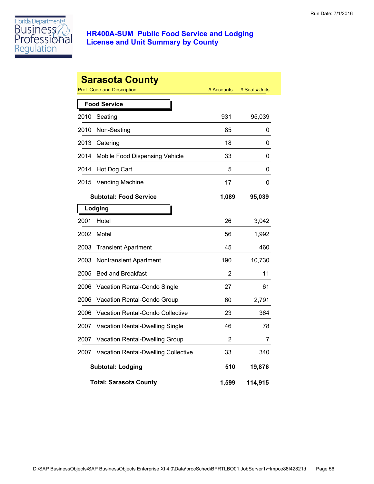

|      | <b>Sarasota County</b><br>Prof. Code and Description | # Accounts | # Seats/Units |
|------|------------------------------------------------------|------------|---------------|
|      | <b>Food Service</b>                                  |            |               |
| 2010 | Seating                                              | 931        | 95,039        |
| 2010 | Non-Seating                                          | 85         | 0             |
| 2013 | Catering                                             | 18         | 0             |
| 2014 | Mobile Food Dispensing Vehicle                       | 33         | 0             |
| 2014 | Hot Dog Cart                                         | 5          | 0             |
| 2015 | <b>Vending Machine</b>                               | 17         | 0             |
|      | <b>Subtotal: Food Service</b>                        | 1,089      | 95,039        |
|      | Lodging                                              |            |               |
| 2001 | Hotel                                                | 26         | 3,042         |
| 2002 | Motel                                                | 56         | 1,992         |
| 2003 | <b>Transient Apartment</b>                           | 45         | 460           |
| 2003 | <b>Nontransient Apartment</b>                        | 190        | 10,730        |
| 2005 | <b>Bed and Breakfast</b>                             | 2          | 11            |
| 2006 | Vacation Rental-Condo Single                         | 27         | 61            |
| 2006 | Vacation Rental-Condo Group                          | 60         | 2,791         |
| 2006 | Vacation Rental-Condo Collective                     | 23         | 364           |
| 2007 | Vacation Rental-Dwelling Single                      | 46         | 78            |
| 2007 | Vacation Rental-Dwelling Group                       | 2          | 7             |
| 2007 | Vacation Rental-Dwelling Collective                  | 33         | 340           |
|      | <b>Subtotal: Lodging</b>                             | 510        | 19,876        |
|      | <b>Total: Sarasota County</b>                        | 1,599      | 114,915       |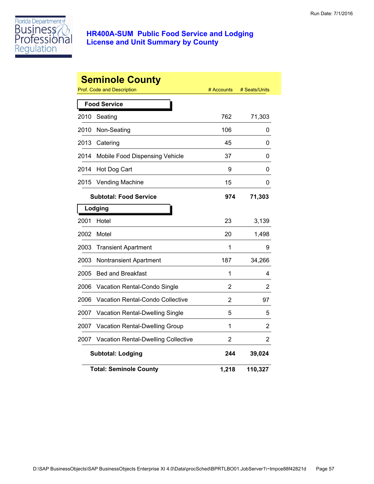

| <b>Seminole County</b><br>Prof. Code and Description<br># Seats/Units<br># Accounts |                                         |                |         |  |  |
|-------------------------------------------------------------------------------------|-----------------------------------------|----------------|---------|--|--|
|                                                                                     | <b>Food Service</b>                     |                |         |  |  |
| 2010                                                                                | Seating                                 | 762            | 71,303  |  |  |
| 2010                                                                                | Non-Seating                             | 106            | 0       |  |  |
| 2013                                                                                | Catering                                | 45             | 0       |  |  |
| 2014                                                                                | Mobile Food Dispensing Vehicle          | 37             | 0       |  |  |
| 2014                                                                                | Hot Dog Cart                            | 9              | 0       |  |  |
| 2015                                                                                | <b>Vending Machine</b>                  | 15             | 0       |  |  |
|                                                                                     | <b>Subtotal: Food Service</b>           | 974            | 71,303  |  |  |
|                                                                                     | Lodging                                 |                |         |  |  |
| 2001                                                                                | Hotel                                   | 23             | 3,139   |  |  |
| 2002                                                                                | Motel                                   | 20             | 1,498   |  |  |
| 2003                                                                                | <b>Transient Apartment</b>              | 1              | 9       |  |  |
| 2003                                                                                | Nontransient Apartment                  | 187            | 34,266  |  |  |
| 2005                                                                                | <b>Bed and Breakfast</b>                | 1              | 4       |  |  |
| 2006                                                                                | Vacation Rental-Condo Single            | 2              | 2       |  |  |
| 2006                                                                                | <b>Vacation Rental-Condo Collective</b> | $\overline{2}$ | 97      |  |  |
| 2007                                                                                | Vacation Rental-Dwelling Single         | 5              | 5       |  |  |
| 2007                                                                                | Vacation Rental-Dwelling Group          | 1              | 2       |  |  |
| 2007                                                                                | Vacation Rental-Dwelling Collective     | 2              | 2       |  |  |
|                                                                                     | <b>Subtotal: Lodging</b>                | 244            | 39,024  |  |  |
|                                                                                     | <b>Total: Seminole County</b>           | 1,218          | 110,327 |  |  |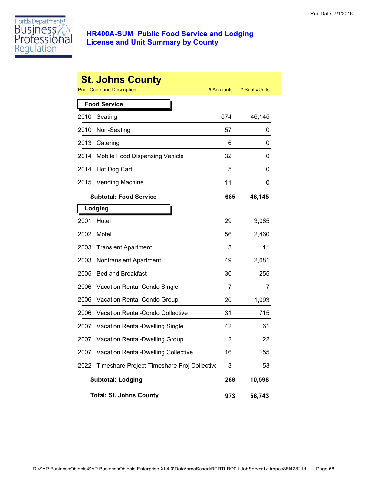

|      | <b>St. Johns County</b><br><b>Prof. Code and Description</b> | # Accounts | # Seats/Units |
|------|--------------------------------------------------------------|------------|---------------|
|      |                                                              |            |               |
|      | <b>Food Service</b>                                          |            |               |
| 2010 | Seating                                                      | 574        | 46,145        |
| 2010 | Non-Seating                                                  | 57         | 0             |
| 2013 | Catering                                                     | 6          | 0             |
| 2014 | Mobile Food Dispensing Vehicle                               | 32         | 0             |
| 2014 | Hot Dog Cart                                                 | 5          | 0             |
| 2015 | <b>Vending Machine</b>                                       | 11         | 0             |
|      | <b>Subtotal: Food Service</b>                                | 685        | 46,145        |
|      | Lodging                                                      |            |               |
| 2001 | Hotel                                                        | 29         | 3,085         |
| 2002 | Motel                                                        | 56         | 2,460         |
| 2003 | <b>Transient Apartment</b>                                   | 3          | 11            |
| 2003 | <b>Nontransient Apartment</b>                                | 49         | 2,681         |
| 2005 | <b>Bed and Breakfast</b>                                     | 30         | 255           |
| 2006 | <b>Vacation Rental-Condo Single</b>                          | 7          | 7             |
| 2006 | Vacation Rental-Condo Group                                  | 20         | 1,093         |
| 2006 | <b>Vacation Rental-Condo Collective</b>                      | 31         | 715           |
| 2007 | <b>Vacation Rental-Dwelling Single</b>                       | 42         | 61            |
| 2007 | <b>Vacation Rental-Dwelling Group</b>                        | 2          | 22            |
| 2007 | <b>Vacation Rental-Dwelling Collective</b>                   | 16         | 155           |
| 2022 | Timeshare Project-Timeshare Proj Collective                  | 3          | 53            |
|      | <b>Subtotal: Lodging</b>                                     | 288        | 10,598        |
|      | <b>Total: St. Johns County</b>                               | 973        | 56,743        |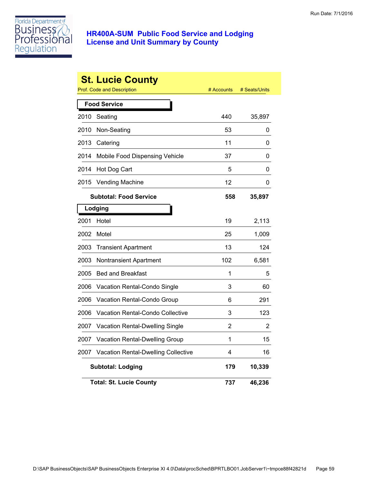

|      | <b>St. Lucie County</b><br>Prof. Code and Description | # Accounts | # Seats/Units |
|------|-------------------------------------------------------|------------|---------------|
|      | <b>Food Service</b>                                   |            |               |
| 2010 | Seating                                               | 440        | 35,897        |
| 2010 | Non-Seating                                           | 53         | 0             |
| 2013 | Catering                                              | 11         | 0             |
| 2014 | Mobile Food Dispensing Vehicle                        | 37         | 0             |
| 2014 | Hot Dog Cart                                          | 5          | 0             |
| 2015 | <b>Vending Machine</b>                                | 12         | 0             |
|      | <b>Subtotal: Food Service</b>                         | 558        | 35,897        |
|      | Lodging                                               |            |               |
| 2001 | Hotel                                                 | 19         | 2,113         |
| 2002 | Motel                                                 | 25         | 1,009         |
| 2003 | <b>Transient Apartment</b>                            | 13         | 124           |
| 2003 | Nontransient Apartment                                | 102        | 6,581         |
| 2005 | <b>Bed and Breakfast</b>                              | 1          | 5             |
| 2006 | Vacation Rental-Condo Single                          | 3          | 60            |
| 2006 | Vacation Rental-Condo Group                           | 6          | 291           |
| 2006 | <b>Vacation Rental-Condo Collective</b>               | 3          | 123           |
| 2007 | Vacation Rental-Dwelling Single                       | 2          | 2             |
| 2007 | Vacation Rental-Dwelling Group                        | 1          | 15            |
| 2007 | Vacation Rental-Dwelling Collective                   | 4          | 16            |
|      | <b>Subtotal: Lodging</b>                              | 179        | 10,339        |
|      | <b>Total: St. Lucie County</b>                        | 737        | 46,236        |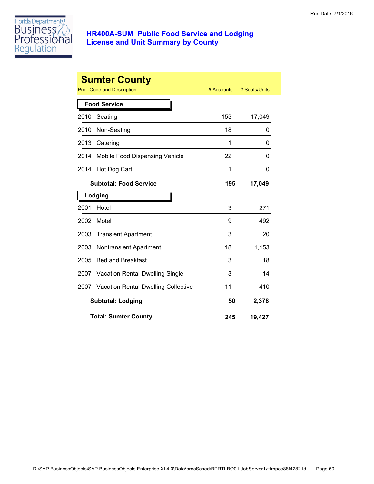

|      | <b>Sumter County</b>                       |            |               |
|------|--------------------------------------------|------------|---------------|
|      | Prof. Code and Description                 | # Accounts | # Seats/Units |
|      | <b>Food Service</b>                        |            |               |
| 2010 | Seating                                    | 153        | 17,049        |
| 2010 | Non-Seating                                | 18         | 0             |
| 2013 | Catering                                   | 1          | 0             |
| 2014 | Mobile Food Dispensing Vehicle             | 22         | 0             |
| 2014 | Hot Dog Cart                               | 1          | 0             |
|      | <b>Subtotal: Food Service</b>              | 195        | 17,049        |
|      | Lodging                                    |            |               |
| 2001 | Hotel                                      | 3          | 271           |
| 2002 | Motel                                      | 9          | 492           |
| 2003 | <b>Transient Apartment</b>                 | 3          | 20            |
| 2003 | Nontransient Apartment                     | 18         | 1,153         |
| 2005 | <b>Bed and Breakfast</b>                   | 3          | 18            |
| 2007 | <b>Vacation Rental-Dwelling Single</b>     | 3          | 14            |
| 2007 | <b>Vacation Rental-Dwelling Collective</b> | 11         | 410           |
|      | <b>Subtotal: Lodging</b>                   | 50         | 2,378         |
|      | <b>Total: Sumter County</b>                | 245        | 19,427        |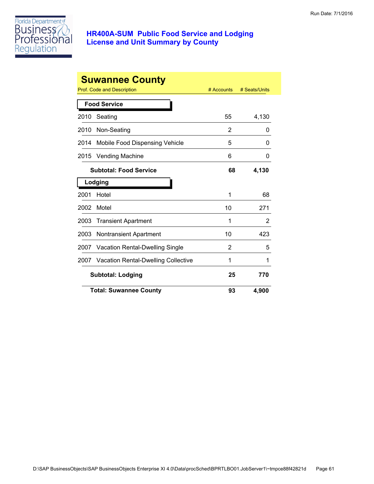

| <b>Suwannee County</b>   |                                        |              |               |
|--------------------------|----------------------------------------|--------------|---------------|
|                          | Prof. Code and Description             | $#$ Accounts | # Seats/Units |
|                          | <b>Food Service</b>                    |              |               |
| 2010                     | Seating                                | 55           | 4,130         |
| 2010                     | Non-Seating                            | 2            | 0             |
| 2014                     | <b>Mobile Food Dispensing Vehicle</b>  | 5            | 0             |
| 2015                     | <b>Vending Machine</b>                 | 6            | 0             |
|                          | <b>Subtotal: Food Service</b>          | 68           | 4,130         |
| Lodging                  |                                        |              |               |
| 2001                     | Hotel                                  | 1            | 68            |
| 2002                     | Motel                                  | 10           | 271           |
| 2003                     | <b>Transient Apartment</b>             | 1            | 2             |
| 2003                     | <b>Nontransient Apartment</b>          | 10           | 423           |
| 2007                     | <b>Vacation Rental-Dwelling Single</b> | 2            | 5             |
| 2007                     | Vacation Rental-Dwelling Collective    | 1            | 1             |
| <b>Subtotal: Lodging</b> |                                        | 25           | 770           |
|                          | <b>Total: Suwannee County</b>          | 93           | 4,900         |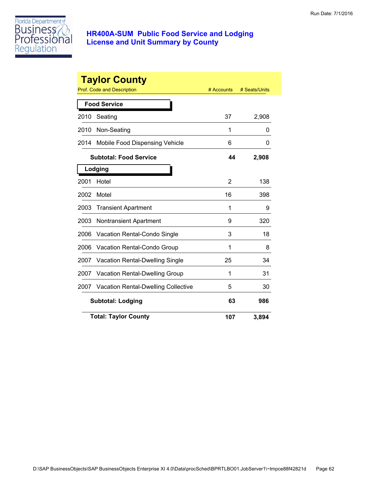

|                          | <b>Taylor County</b><br><b>Prof. Code and Description</b> | # Accounts     | # Seats/Units |
|--------------------------|-----------------------------------------------------------|----------------|---------------|
|                          | <b>Food Service</b>                                       |                |               |
| 2010                     | Seating                                                   | 37             | 2,908         |
| 2010                     | Non-Seating                                               | 1              | 0             |
| 2014                     | Mobile Food Dispensing Vehicle                            | 6              | 0             |
|                          | <b>Subtotal: Food Service</b>                             | 44             | 2,908         |
|                          | Lodging                                                   |                |               |
| 2001                     | Hotel                                                     | $\overline{2}$ | 138           |
| 2002                     | Motel                                                     | 16             | 398           |
| 2003                     | <b>Transient Apartment</b>                                | 1              | 9             |
| 2003                     | <b>Nontransient Apartment</b>                             | 9              | 320           |
| 2006                     | <b>Vacation Rental-Condo Single</b>                       | 3              | 18            |
| 2006                     | <b>Vacation Rental-Condo Group</b>                        | 1              | 8             |
| 2007                     | <b>Vacation Rental-Dwelling Single</b>                    | 25             | 34            |
| 2007                     | <b>Vacation Rental-Dwelling Group</b>                     | 1              | 31            |
| 2007                     | <b>Vacation Rental-Dwelling Collective</b>                | 5              | 30            |
| <b>Subtotal: Lodging</b> |                                                           | 63             | 986           |
|                          | <b>Total: Taylor County</b>                               | 107            | 3,894         |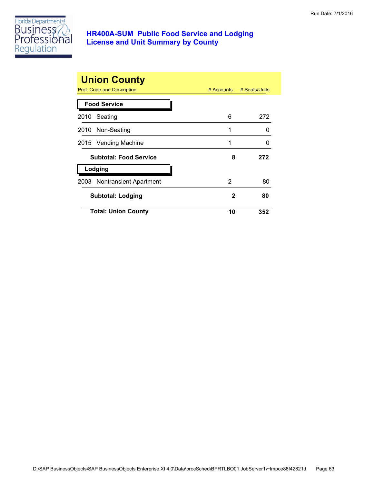

| <b>Union County</b><br>Prof. Code and Description<br># Accounts<br># Seats/Units |    |     |  |
|----------------------------------------------------------------------------------|----|-----|--|
| <b>Food Service</b>                                                              |    |     |  |
| Seating<br>2010                                                                  | 6  | 272 |  |
| 2010 Non-Seating                                                                 | 1  | O   |  |
| 2015 Vending Machine                                                             | 1  | O   |  |
| <b>Subtotal: Food Service</b>                                                    | 8  | 272 |  |
| Lodging                                                                          |    |     |  |
| 2003 Nontransient Apartment                                                      | 2  | 80  |  |
| <b>Subtotal: Lodging</b>                                                         | 2  | 80  |  |
| <b>Total: Union County</b>                                                       | 10 | 352 |  |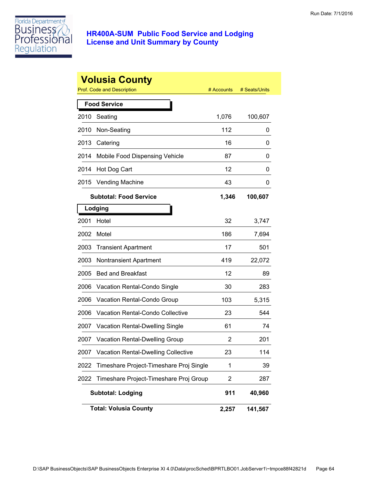

|      | <b>Volusia County</b><br>Prof. Code and Description | # Accounts | # Seats/Units |
|------|-----------------------------------------------------|------------|---------------|
|      | <b>Food Service</b>                                 |            |               |
| 2010 | Seating                                             | 1,076      | 100,607       |
| 2010 | Non-Seating                                         | 112        | 0             |
| 2013 | Catering                                            | 16         | 0             |
| 2014 | Mobile Food Dispensing Vehicle                      | 87         | 0             |
| 2014 | Hot Dog Cart                                        | 12         | 0             |
| 2015 | Vending Machine                                     | 43         | 0             |
|      | <b>Subtotal: Food Service</b>                       | 1,346      | 100,607       |
|      | Lodging                                             |            |               |
| 2001 | Hotel                                               | 32         | 3,747         |
| 2002 | Motel                                               | 186        | 7,694         |
| 2003 | <b>Transient Apartment</b>                          | 17         | 501           |
| 2003 | <b>Nontransient Apartment</b>                       | 419        | 22,072        |
| 2005 | <b>Bed and Breakfast</b>                            | 12         | 89            |
| 2006 | Vacation Rental-Condo Single                        | 30         | 283           |
| 2006 | Vacation Rental-Condo Group                         | 103        | 5,315         |
| 2006 | <b>Vacation Rental-Condo Collective</b>             | 23         | 544           |
| 2007 | <b>Vacation Rental-Dwelling Single</b>              | 61         | 74            |
| 2007 | <b>Vacation Rental-Dwelling Group</b>               | 2          | 201           |
| 2007 | <b>Vacation Rental-Dwelling Collective</b>          | 23         | 114           |
| 2022 | Timeshare Project-Timeshare Proj Single             | 1          | 39            |
| 2022 | Timeshare Project-Timeshare Proj Group              | 2          | 287           |
|      | <b>Subtotal: Lodging</b>                            | 911        | 40,960        |
|      | <b>Total: Volusia County</b>                        | 2,257      | 141,567       |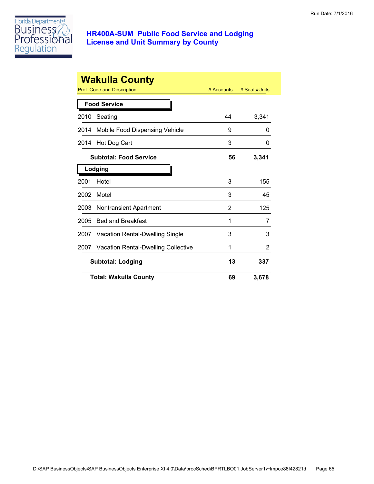

| <b>Wakulla County</b>    |                                     |              |               |
|--------------------------|-------------------------------------|--------------|---------------|
|                          | Prof. Code and Description          | $#$ Accounts | # Seats/Units |
|                          | <b>Food Service</b>                 |              |               |
| 2010                     | Seating                             | 44           | 3,341         |
| 2014                     | Mobile Food Dispensing Vehicle      | 9            | 0             |
| 2014                     | Hot Dog Cart                        | 3            | 0             |
|                          | <b>Subtotal: Food Service</b>       | 56           | 3,341         |
|                          | Lodging                             |              |               |
| 2001                     | Hotel                               | 3            | 155           |
| 2002                     | Motel                               | 3            | 45            |
| 2003                     | <b>Nontransient Apartment</b>       | 2            | 125           |
| 2005                     | <b>Bed and Breakfast</b>            | 1            | 7             |
| 2007                     | Vacation Rental-Dwelling Single     | 3            | 3             |
| 2007                     | Vacation Rental-Dwelling Collective | 1            | 2             |
| <b>Subtotal: Lodging</b> |                                     | 13           | 337           |
|                          | <b>Total: Wakulla County</b>        | 69           | 3,678         |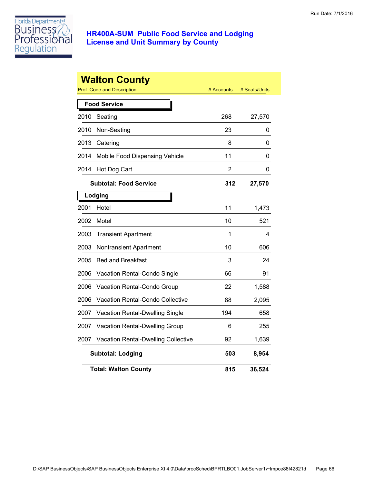

|      | <b>Walton County</b><br><b>Prof. Code and Description</b> | # Accounts     | # Seats/Units |
|------|-----------------------------------------------------------|----------------|---------------|
|      | <b>Food Service</b>                                       |                |               |
| 2010 | Seating                                                   | 268            | 27,570        |
| 2010 | Non-Seating                                               | 23             | 0             |
| 2013 | Catering                                                  | 8              | 0             |
| 2014 | Mobile Food Dispensing Vehicle                            | 11             | 0             |
| 2014 | Hot Dog Cart                                              | $\overline{2}$ | 0             |
|      | <b>Subtotal: Food Service</b>                             | 312            | 27,570        |
|      | Lodging                                                   |                |               |
| 2001 | Hotel                                                     | 11             | 1,473         |
| 2002 | Motel                                                     | 10             | 521           |
| 2003 | <b>Transient Apartment</b>                                | 1              | 4             |
| 2003 | <b>Nontransient Apartment</b>                             | 10             | 606           |
| 2005 | <b>Bed and Breakfast</b>                                  | 3              | 24            |
| 2006 | Vacation Rental-Condo Single                              | 66             | 91            |
| 2006 | Vacation Rental-Condo Group                               | 22             | 1,588         |
| 2006 | Vacation Rental-Condo Collective                          | 88             | 2,095         |
| 2007 | <b>Vacation Rental-Dwelling Single</b>                    | 194            | 658           |
| 2007 | Vacation Rental-Dwelling Group                            | 6              | 255           |
| 2007 | <b>Vacation Rental-Dwelling Collective</b>                | 92             | 1,639         |
|      | <b>Subtotal: Lodging</b>                                  | 503            | 8,954         |
|      | <b>Total: Walton County</b>                               | 815            | 36,524        |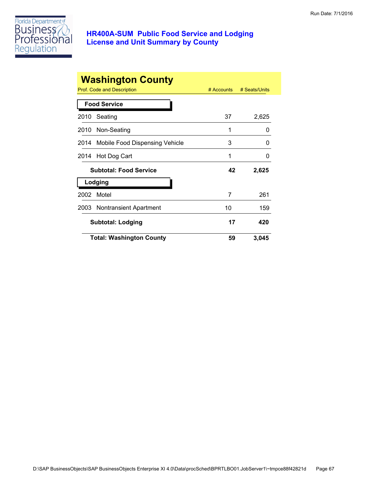

|      | <b>Washington County</b><br>Prof. Code and Description | $#$ Accounts | # Seats/Units |
|------|--------------------------------------------------------|--------------|---------------|
|      | <b>Food Service</b>                                    |              |               |
| 2010 | Seating                                                | 37           | 2,625         |
|      | 2010 Non-Seating                                       | 1            | 0             |
|      | 2014 Mobile Food Dispensing Vehicle                    | 3            | 0             |
| 2014 | Hot Dog Cart                                           | 1            | O             |
|      | <b>Subtotal: Food Service</b>                          | 42           | 2,625         |
|      | Lodging                                                |              |               |
| 2002 | Motel                                                  | 7            | 261           |
|      | 2003 Nontransient Apartment                            | 10           | 159           |
|      | <b>Subtotal: Lodging</b>                               | 17           | 420           |
|      | <b>Total: Washington County</b>                        | 59           | 3,045         |